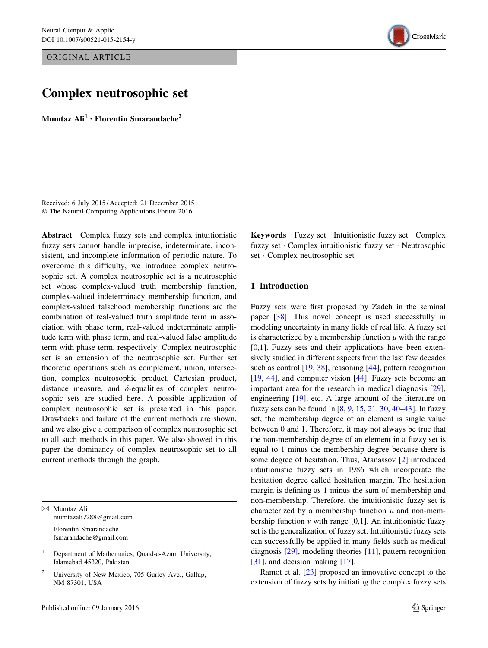ORIGINAL ARTICLE

# Complex neutrosophic set

Mumtaz  $\text{Ali}^1 \cdot \text{Florentin Smarandache}^2$ 

Received: 6 July 2015 / Accepted: 21 December 2015 © The Natural Computing Applications Forum 2016

Abstract Complex fuzzy sets and complex intuitionistic fuzzy sets cannot handle imprecise, indeterminate, inconsistent, and incomplete information of periodic nature. To overcome this difficulty, we introduce complex neutrosophic set. A complex neutrosophic set is a neutrosophic set whose complex-valued truth membership function, complex-valued indeterminacy membership function, and complex-valued falsehood membership functions are the combination of real-valued truth amplitude term in association with phase term, real-valued indeterminate amplitude term with phase term, and real-valued false amplitude term with phase term, respectively. Complex neutrosophic set is an extension of the neutrosophic set. Further set theoretic operations such as complement, union, intersection, complex neutrosophic product, Cartesian product, distance measure, and  $\delta$ -equalities of complex neutrosophic sets are studied here. A possible application of complex neutrosophic set is presented in this paper. Drawbacks and failure of the current methods are shown, and we also give a comparison of complex neutrosophic set to all such methods in this paper. We also showed in this paper the dominancy of complex neutrosophic set to all current methods through the graph.

& Mumtaz Ali mumtazali7288@gmail.com Florentin Smarandache fsmarandache@gmail.com

<sup>1</sup> Department of Mathematics, Quaid-e-Azam University, Islamabad 45320, Pakistan

<sup>2</sup> University of New Mexico, 705 Gurley Ave., Gallup, NM 87301, USA



## 1 Introduction

Fuzzy sets were first proposed by Zadeh in the seminal paper [\[38](#page-17-0)]. This novel concept is used successfully in modeling uncertainty in many fields of real life. A fuzzy set is characterized by a membership function  $\mu$  with the range [0,1]. Fuzzy sets and their applications have been extensively studied in different aspects from the last few decades such as control [[19,](#page-16-0) [38\]](#page-17-0), reasoning [[44\]](#page-17-0), pattern recognition [\[19](#page-16-0), [44](#page-17-0)], and computer vision [[44\]](#page-17-0). Fuzzy sets become an important area for the research in medical diagnosis [\[29](#page-17-0)], engineering [\[19](#page-16-0)], etc. A large amount of the literature on fuzzy sets can be found in [[8,](#page-16-0) [9](#page-16-0), [15](#page-16-0), [21,](#page-16-0) [30,](#page-17-0) [40–43](#page-17-0)]. In fuzzy set, the membership degree of an element is single value between 0 and 1. Therefore, it may not always be true that the non-membership degree of an element in a fuzzy set is equal to 1 minus the membership degree because there is some degree of hesitation. Thus, Atanassov [\[2\]](#page-16-0) introduced intuitionistic fuzzy sets in 1986 which incorporate the hesitation degree called hesitation margin. The hesitation margin is defining as 1 minus the sum of membership and non-membership. Therefore, the intuitionistic fuzzy set is characterized by a membership function  $\mu$  and non-membership function  $\nu$  with range [0,1]. An intuitionistic fuzzy set is the generalization of fuzzy set. Intuitionistic fuzzy sets can successfully be applied in many fields such as medical diagnosis [\[29](#page-17-0)], modeling theories [[11\]](#page-16-0), pattern recognition [\[31](#page-17-0)], and decision making [\[17](#page-16-0)].

Ramot et al. [\[23](#page-17-0)] proposed an innovative concept to the extension of fuzzy sets by initiating the complex fuzzy sets

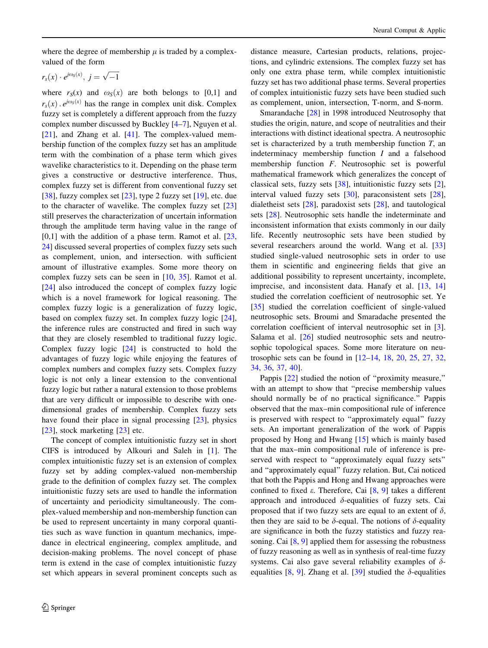where the degree of membership  $\mu$  is traded by a complexvalued of the form

 $r_s(x) \cdot e^{j\omega_s(x)}, \ j = \sqrt{-1}$ 

where  $r<sub>S</sub>(x)$  and  $\omega<sub>S</sub>(x)$  are both belongs to [0,1] and  $r_s(x)$ .  $e^{j\omega_s(x)}$  has the range in complex unit disk. Complex fuzzy set is completely a different approach from the fuzzy complex number discussed by Buckley [[4–7\]](#page-16-0), Nguyen et al. [\[21](#page-16-0)], and Zhang et al. [\[41](#page-17-0)]. The complex-valued membership function of the complex fuzzy set has an amplitude term with the combination of a phase term which gives wavelike characteristics to it. Depending on the phase term gives a constructive or destructive interference. Thus, complex fuzzy set is different from conventional fuzzy set [\[38](#page-17-0)], fuzzy complex set  $[23]$  $[23]$ , type 2 fuzzy set  $[19]$  $[19]$ , etc. due to the character of wavelike. The complex fuzzy set [[23\]](#page-17-0) still preserves the characterization of uncertain information through the amplitude term having value in the range of  $[0,1]$  with the addition of a phase term. Ramot et al.  $[23, 1]$  $[23, 1]$  $[23, 1]$ [24\]](#page-17-0) discussed several properties of complex fuzzy sets such as complement, union, and intersection. with sufficient amount of illustrative examples. Some more theory on complex fuzzy sets can be seen in [[10,](#page-16-0) [35](#page-17-0)]. Ramot et al. [\[24](#page-17-0)] also introduced the concept of complex fuzzy logic which is a novel framework for logical reasoning. The complex fuzzy logic is a generalization of fuzzy logic, based on complex fuzzy set. In complex fuzzy logic [\[24](#page-17-0)], the inference rules are constructed and fired in such way that they are closely resembled to traditional fuzzy logic. Complex fuzzy logic [[24\]](#page-17-0) is constructed to hold the advantages of fuzzy logic while enjoying the features of complex numbers and complex fuzzy sets. Complex fuzzy logic is not only a linear extension to the conventional fuzzy logic but rather a natural extension to those problems that are very difficult or impossible to describe with onedimensional grades of membership. Complex fuzzy sets have found their place in signal processing [\[23](#page-17-0)], physics [\[23](#page-17-0)], stock marketing [23] etc.

The concept of complex intuitionistic fuzzy set in short CIFS is introduced by Alkouri and Saleh in [[1\]](#page-16-0). The complex intuitionistic fuzzy set is an extension of complex fuzzy set by adding complex-valued non-membership grade to the definition of complex fuzzy set. The complex intuitionistic fuzzy sets are used to handle the information of uncertainty and periodicity simultaneously. The complex-valued membership and non-membership function can be used to represent uncertainty in many corporal quantities such as wave function in quantum mechanics, impedance in electrical engineering, complex amplitude, and decision-making problems. The novel concept of phase term is extend in the case of complex intuitionistic fuzzy set which appears in several prominent concepts such as distance measure, Cartesian products, relations, projections, and cylindric extensions. The complex fuzzy set has only one extra phase term, while complex intuitionistic fuzzy set has two additional phase terms. Several properties of complex intuitionistic fuzzy sets have been studied such as complement, union, intersection, T-norm, and S-norm.

Smarandache [[28\]](#page-17-0) in 1998 introduced Neutrosophy that studies the origin, nature, and scope of neutralities and their interactions with distinct ideational spectra. A neutrosophic set is characterized by a truth membership function  $T$ , an indeterminacy membership function I and a falsehood membership function F. Neutrosophic set is powerful mathematical framework which generalizes the concept of classical sets, fuzzy sets [\[38](#page-17-0)], intuitionistic fuzzy sets [\[2](#page-16-0)], interval valued fuzzy sets [[30\]](#page-17-0), paraconsistent sets [\[28](#page-17-0)], dialetheist sets [[28\]](#page-17-0), paradoxist sets [\[28](#page-17-0)], and tautological sets [\[28](#page-17-0)]. Neutrosophic sets handle the indeterminate and inconsistent information that exists commonly in our daily life. Recently neutrosophic sets have been studied by several researchers around the world. Wang et al. [[33\]](#page-17-0) studied single-valued neutrosophic sets in order to use them in scientific and engineering fields that give an additional possibility to represent uncertainty, incomplete, imprecise, and inconsistent data. Hanafy et al. [[13,](#page-16-0) [14\]](#page-16-0) studied the correlation coefficient of neutrosophic set. Ye [\[35](#page-17-0)] studied the correlation coefficient of single-valued neutrosophic sets. Broumi and Smaradache presented the correlation coefficient of interval neutrosophic set in [\[3](#page-16-0)]. Salama et al. [[26\]](#page-17-0) studied neutrosophic sets and neutrosophic topological spaces. Some more literature on neutrosophic sets can be found in [\[12](#page-16-0)–[14,](#page-16-0) [18,](#page-16-0) [20,](#page-16-0) [25,](#page-17-0) [27,](#page-17-0) [32,](#page-17-0) [34](#page-17-0), [36,](#page-17-0) [37,](#page-17-0) [40\]](#page-17-0).

Pappis  $[22]$  $[22]$  studied the notion of "proximity measure," with an attempt to show that ''precise membership values should normally be of no practical significance.'' Pappis observed that the max–min compositional rule of inference is preserved with respect to "approximately equal" fuzzy sets. An important generalization of the work of Pappis proposed by Hong and Hwang [[15\]](#page-16-0) which is mainly based that the max–min compositional rule of inference is preserved with respect to ''approximately equal fuzzy sets'' and ''approximately equal'' fuzzy relation. But, Cai noticed that both the Pappis and Hong and Hwang approaches were confined to fixed  $\varepsilon$ . Therefore, Cai [[8,](#page-16-0) [9\]](#page-16-0) takes a different approach and introduced  $\delta$ -equalities of fuzzy sets. Cai proposed that if two fuzzy sets are equal to an extent of  $\delta$ , then they are said to be  $\delta$ -equal. The notions of  $\delta$ -equality are significance in both the fuzzy statistics and fuzzy reasoning. Cai  $[8, 9]$  $[8, 9]$  $[8, 9]$  $[8, 9]$  applied them for assessing the robustness of fuzzy reasoning as well as in synthesis of real-time fuzzy systems. Cai also gave several reliability examples of  $\delta$ -equalities [\[8](#page-16-0), [9](#page-16-0)]. Zhang et al. [[39\]](#page-17-0) studied the  $\delta$ -equalities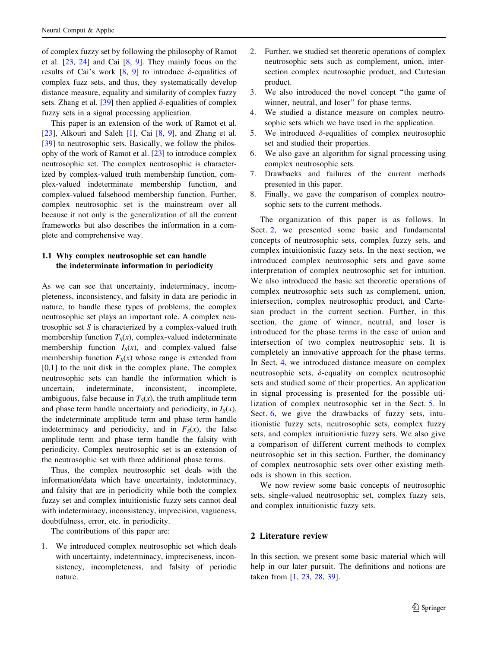of complex fuzzy set by following the philosophy of Ramot et al. [[23,](#page-17-0) [24](#page-17-0)] and Cai [[8,](#page-16-0) [9](#page-16-0)]. They mainly focus on the results of Cai's work [\[8](#page-16-0), [9](#page-16-0)] to introduce  $\delta$ -equalities of complex fuzz sets, and thus, they systematically develop distance measure, equality and similarity of complex fuzzy sets. Zhang et al. [[39](#page-17-0)] then applied  $\delta$ -equalities of complex fuzzy sets in a signal processing application.

This paper is an extension of the work of Ramot et al. [\[23](#page-17-0)], Alkouri and Saleh [\[1](#page-16-0)], Cai [[8,](#page-16-0) [9](#page-16-0)], and Zhang et al. [\[39](#page-17-0)] to neutrosophic sets. Basically, we follow the philosophy of the work of Ramot et al. [[23\]](#page-17-0) to introduce complex neutrosophic set. The complex neutrosophic is characterized by complex-valued truth membership function, complex-valued indeterminate membership function, and complex-valued falsehood membership function. Further, complex neutrosophic set is the mainstream over all because it not only is the generalization of all the current frameworks but also describes the information in a complete and comprehensive way.

# 1.1 Why complex neutrosophic set can handle the indeterminate information in periodicity

As we can see that uncertainty, indeterminacy, incompleteness, inconsistency, and falsity in data are periodic in nature, to handle these types of problems, the complex neutrosophic set plays an important role. A complex neutrosophic set S is characterized by a complex-valued truth membership function  $T_S(x)$ , complex-valued indeterminate membership function  $I_S(x)$ , and complex-valued false membership function  $F_S(x)$  whose range is extended from  $[0,1]$  to the unit disk in the complex plane. The complex neutrosophic sets can handle the information which is uncertain, indeterminate, inconsistent, incomplete, ambiguous, false because in  $T<sub>S</sub>(x)$ , the truth amplitude term and phase term handle uncertainty and periodicity, in  $I_S(x)$ , the indeterminate amplitude term and phase term handle indeterminacy and periodicity, and in  $F<sub>S</sub>(x)$ , the false amplitude term and phase term handle the falsity with periodicity. Complex neutrosophic set is an extension of the neutrosophic set with three additional phase terms.

Thus, the complex neutrosophic set deals with the information/data which have uncertainty, indeterminacy, and falsity that are in periodicity while both the complex fuzzy set and complex intuitionistic fuzzy sets cannot deal with indeterminacy, inconsistency, imprecision, vagueness, doubtfulness, error, etc. in periodicity.

The contributions of this paper are:

1. We introduced complex neutrosophic set which deals with uncertainty, indeterminacy, impreciseness, inconsistency, incompleteness, and falsity of periodic nature.

- 2. Further, we studied set theoretic operations of complex neutrosophic sets such as complement, union, intersection complex neutrosophic product, and Cartesian product.
- 3. We also introduced the novel concept ''the game of winner, neutral, and loser'' for phase terms.
- 4. We studied a distance measure on complex neutrosophic sets which we have used in the application.
- 5. We introduced  $\delta$ -equalities of complex neutrosophic set and studied their properties.
- 6. We also gave an algorithm for signal processing using complex neutrosophic sets.
- 7. Drawbacks and failures of the current methods presented in this paper.
- 8. Finally, we gave the comparison of complex neutrosophic sets to the current methods.

The organization of this paper is as follows. In Sect. 2, we presented some basic and fundamental concepts of neutrosophic sets, complex fuzzy sets, and complex intuitionistic fuzzy sets. In the next section, we introduced complex neutrosophic sets and gave some interpretation of complex neutrosophic set for intuition. We also introduced the basic set theoretic operations of complex neutrosophic sets such as complement, union, intersection, complex neutrosophic product, and Cartesian product in the current section. Further, in this section, the game of winner, neutral, and loser is introduced for the phase terms in the case of union and intersection of two complex neutrosophic sets. It is completely an innovative approach for the phase terms. In Sect. [4,](#page-9-0) we introduced distance measure on complex neutrosophic sets,  $\delta$ -equality on complex neutrosophic sets and studied some of their properties. An application in signal processing is presented for the possible utilization of complex neutrosophic set in the Sect. [5.](#page-12-0) In Sect. [6](#page-13-0), we give the drawbacks of fuzzy sets, intuitionistic fuzzy sets, neutrosophic sets, complex fuzzy sets, and complex intuitionistic fuzzy sets. We also give a comparison of different current methods to complex neutrosophic set in this section. Further, the dominancy of complex neutrosophic sets over other existing methods is shown in this section.

We now review some basic concepts of neutrosophic sets, single-valued neutrosophic set, complex fuzzy sets, and complex intuitionistic fuzzy sets.

## 2 Literature review

In this section, we present some basic material which will help in our later pursuit. The definitions and notions are taken from [\[1](#page-16-0), [23](#page-17-0), [28,](#page-17-0) [39\]](#page-17-0).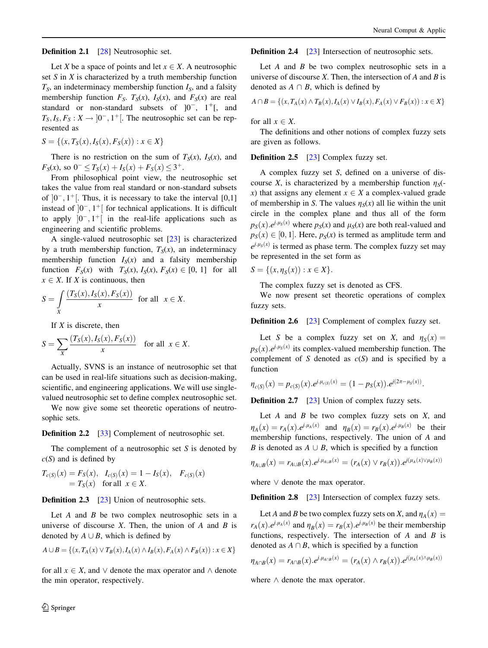#### Definition 2.1 [\[28](#page-17-0)] Neutrosophic set.

Let X be a space of points and let  $x \in X$ . A neutrosophic set  $S$  in  $X$  is characterized by a truth membership function  $T<sub>S</sub>$ , an indeterminacy membership function  $I<sub>S</sub>$ , and a falsity membership function  $F_S$ .  $T_S(x)$ ,  $I_S(x)$ , and  $F_S(x)$  are real standard or non-standard subsets of  $]0^-, 1^+]$ , and  $T_S, I_S, F_S: X \rightarrow [0^-, 1^+]$ . The neutrosophic set can be represented as

$$
S = \{(x, T_S(x), I_S(x), F_S(x)) : x \in X\}
$$

There is no restriction on the sum of  $T_S(x)$ ,  $I_S(x)$ , and  $F_S(x)$ , so  $0^- \leq T_S(x) + I_S(x) + F_S(x) \leq 3^+$ .

From philosophical point view, the neutrosophic set takes the value from real standard or non-standard subsets of  $[0^-, 1^+]$ . Thus, it is necessary to take the interval  $[0,1]$ instead of  $[0^-, 1^+]$  for technical applications. It is difficult to apply  $[0^-, 1^+]$  in the real-life applications such as engineering and scientific problems.

A single-valued neutrosophic set [[23\]](#page-17-0) is characterized by a truth membership function,  $T_S(x)$ , an indeterminacy membership function  $I_S(x)$  and a falsity membership function  $F_S(x)$  with  $T_S(x)$ ,  $I_S(x)$ ,  $F_S(x) \in [0, 1]$  for all  $x \in X$ . If X is continuous, then

$$
S = \int\limits_X \frac{(T_S(x), I_S(x), F_S(x))}{x} \text{ for all } x \in X.
$$

If  $X$  is discrete, then

$$
S = \sum_{X} \frac{(T_S(x), I_S(x), F_S(x))}{x} \quad \text{for all } x \in X.
$$

Actually, SVNS is an instance of neutrosophic set that can be used in real-life situations such as decision-making, scientific, and engineering applications. We will use singlevalued neutrosophic set to define complex neutrosophic set.

We now give some set theoretic operations of neutrosophic sets.

**Definition 2.2** [\[33](#page-17-0)] Complement of neutrosophic set.

The complement of a neutrosophic set  $S$  is denoted by  $c(S)$  and is defined by

$$
T_{c(S)}(x) = F_S(x), \quad I_{c(S)}(x) = 1 - I_S(x), \quad F_{c(S)}(x) = T_S(x) \quad \text{for all} \ \ x \in X.
$$

**Definition 2.3** [\[23](#page-17-0)] Union of neutrosophic sets.

Let  $A$  and  $B$  be two complex neutrosophic sets in a universe of discourse  $X$ . Then, the union of  $A$  and  $B$  is denoted by  $A \cup B$ , which is defined by

$$
A \cup B = \{(x, T_A(x) \lor T_B(x), I_A(x) \land I_B(x), F_A(x) \land F_B(x)) : x \in X\}
$$

for all  $x \in X$ , and  $\vee$  denote the max operator and  $\wedge$  denote the min operator, respectively.

2 Springer

**Definition 2.4** [\[23](#page-17-0)] Intersection of neutrosophic sets.

Let  $A$  and  $B$  be two complex neutrosophic sets in a universe of discourse  $X$ . Then, the intersection of  $A$  and  $B$  is denoted as  $A \cap B$ , which is defined by

$$
A \cap B = \{(x, T_A(x) \land T_B(x), I_A(x) \lor I_B(x), F_A(x) \lor F_B(x)) : x \in X\}
$$

for all  $x \in X$ .

The definitions and other notions of complex fuzzy sets are given as follows.

Definition 2.5 [\[23](#page-17-0)] Complex fuzzy set.

A complex fuzzy set S, defined on a universe of discourse X, is characterized by a membership function  $\eta_s$ . x) that assigns any element  $x \in X$  a complex-valued grade of membership in S. The values  $\eta_S(x)$  all lie within the unit circle in the complex plane and thus all of the form  $p_S(x)$ ,  $e^{j \mu_S(x)}$  where  $p_S(x)$  and  $\mu_S(x)$  are both real-valued and  $p_S(x) \in [0, 1]$ . Here,  $p_S(x)$  is termed as amplitude term and  $e^{j \cdot \mu_s(x)}$  is termed as phase term. The complex fuzzy set may be represented in the set form as

 $S = \{(x, \eta_S(x)) : x \in X\}.$ 

The complex fuzzy set is denoted as CFS.

We now present set theoretic operations of complex fuzzy sets.

**Definition 2.6** [\[23](#page-17-0)] Complement of complex fuzzy set.

Let S be a complex fuzzy set on X, and  $\eta_S(x) =$  $p_S(x)$ . $e^{j \mu_S(x)}$  its complex-valued membership function. The complement of S denoted as  $c(S)$  and is specified by a function

$$
\eta_{c(S)}(x) = p_{c(S)}(x).e^{j.\mu_{c(S)}(x)} = (1-p_S(x)).e^{j(2\pi - \mu_S(x))}.
$$

**Definition 2.7** [\[23](#page-17-0)] Union of complex fuzzy sets.

Let  $A$  and  $B$  be two complex fuzzy sets on  $X$ , and  $\eta_A(x) = r_A(x) e^{j \mu_A(x)}$  and  $\eta_B(x) = r_B(x) e^{j \mu_B(x)}$  be their membership functions, respectively. The union of A and B is denoted as  $A \cup B$ , which is specified by a function

$$
\eta_{A \cup B}(x) = r_{A \cup B}(x).e^{j.\mu_{A \cup B}(x)} = (r_A(x) \vee r_B(x)).e^{j(\mu_A(x) \vee \mu_B(x))}
$$

where  $\vee$  denote the max operator.

**Definition 2.8** [\[23](#page-17-0)] Intersection of complex fuzzy sets.

Let A and B be two complex fuzzy sets on X, and  $\eta_A(x) =$  $r_A(x)$ . $e^{j \cdot \mu_A(x)}$  and  $\eta_B(x) = r_B(x)$ . $e^{j \cdot \mu_B(x)}$  be their membership functions, respectively. The intersection of  $A$  and  $B$  is denoted as  $A \cap B$ , which is specified by a function

$$
\eta_{A\cap B}(x)=r_{A\cap B}(x).e^{j.\mu_{A\cap B}(x)}=(r_A(x)\wedge r_B(x)).e^{j(\mu_A(x)\wedge\mu_B(x))}
$$

where  $\wedge$  denote the max operator.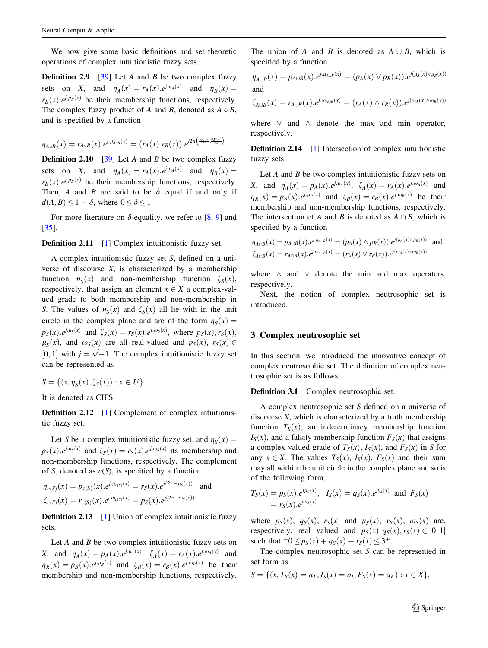We now give some basic definitions and set theoretic operations of complex intuitionistic fuzzy sets.

**Definition 2.9** [[39\]](#page-17-0) Let A and B be two complex fuzzy sets on X, and  $\eta_A(x) = r_A(x) e^{i \mu_A(x)}$  and  $\eta_B(x) =$  $r_B(x) \cdot e^{j \cdot \mu_B(x)}$  be their membership functions, respectively. The complex fuzzy product of A and B, denoted as  $A \circ B$ , and is specified by a function

$$
\eta_{A \circ B}(x) = r_{A \circ B}(x).e^{j.\mu_{A \circ B}(x)} = (r_A(x).r_B(x)).e^{j2\pi \left(\frac{\mu_A(x).\mu_B(x)}{2\pi}.2\frac{\mu_B(x)}{2\pi}\right)}.
$$

**Definition 2.10** [\[39](#page-17-0)] Let A and B be two complex fuzzy sets on X, and  $\eta_A(x) = r_A(x) e^{j \mu_A(x)}$  and  $\eta_B(x) =$  $r_B(x) \cdot e^{j \cdot \mu_B(x)}$  be their membership functions, respectively. Then, A and B are said to be  $\delta$  equal if and only if  $d(A, B) \leq 1 - \delta$ , where  $0 \leq \delta \leq 1$ .

For more literature on  $\delta$ -equality, we refer to [[8,](#page-16-0) [9](#page-16-0)] and [\[35](#page-17-0)].

**Definition 2.11** [\[1](#page-16-0)] Complex intuitionistic fuzzy set.

A complex intuitionistic fuzzy set S, defined on a universe of discourse  $X$ , is characterized by a membership function  $\eta_s(x)$  and non-membership function  $\zeta_s(x)$ , respectively, that assign an element  $x \in X$  a complex-valued grade to both membership and non-membership in S. The values of  $\eta_s(x)$  and  $\zeta_s(x)$  all lie with in the unit circle in the complex plane and are of the form  $\eta_s(x) =$  $p_S(x).e^{j.\mu_S(x)}$  and  $\zeta_S(x) = r_S(x).e^{j.\omega_S(x)}$ , where  $p_S(x), r_S(x)$ ,  $\mu_S(x)$ , and  $\omega_S(x)$  are all real-valued and  $p_S(x)$ ,  $r_S(x) \in$  $\mu_S(x)$ , and  $\omega_S(x)$  are an real valued and  $p_S(x)$ ,  $r_S(x) \in [0,1]$  with  $j = \sqrt{-1}$ . The complex intuitionistic fuzzy set can be represented as

$$
S = \{(x, \eta_S(x), \zeta_S(x)) : x \in U\}.
$$

It is denoted as CIFS.

**Definition 2.12** [[1\]](#page-16-0) Complement of complex intuitionistic fuzzy set.

Let S be a complex intuitionistic fuzzy set, and  $\eta_S(x) =$  $p_S(x)$ ,  $e^{i\mu_S(x)}$  and  $\zeta_S(x) = r_S(x)$ ,  $e^{i\omega_S(x)}$  its membership and non-membership functions, respectively. The complement of S, denoted as  $c(S)$ , is specified by a function

$$
\eta_{c(S)}(x) = p_{c(S)}(x).e^{j.\mu_{c(S)}(x)} = r_S(x).e^{j(2\pi - \mu_S(x))} \text{ and}
$$
  

$$
\zeta_{c(S)}(x) = r_{c(S)}(x).e^{j.\omega_{c(S)}(x)} = p_S(x).e^{j(2\pi - \omega_S(x))}
$$

**Definition 2.13** [[1\]](#page-16-0) Union of complex intuitionistic fuzzy sets.

Let  $A$  and  $B$  be two complex intuitionistic fuzzy sets on X, and  $\eta_A(x) = p_A(x) \cdot e^{j \cdot \mu_A(x)}$ ,  $\zeta_A(x) = r_A(x) \cdot e^{j \cdot \omega_A(x)}$  and  $\eta_B(x) = p_B(x) \cdot e^{j \cdot \mu_B(x)}$  and  $\zeta_B(x) = r_B(x) \cdot e^{j \cdot \omega_B(x)}$  be their membership and non-membership functions, respectively.

The union of A and B is denoted as  $A \cup B$ , which is specified by a function

$$
\eta_{A\cup B}(x) = p_{A\cup B}(x).e^{j.\mu_{A\cup B}(x)} = (p_A(x) \lor p_B(x)).e^{j(\mu_A(x)\lor \mu_B(x))}
$$
  
and

$$
\zeta_{A\cup B}(x) = r_{A\cup B}(x).e^{j.\omega_{A\cup B}(x)} = (r_A(x) \wedge r_B(x)).e^{j(\omega_A(x) \wedge \omega_B(x))}
$$

where  $\vee$  and  $\wedge$  denote the max and min operator, respectively.

**Definition 2.14** [\[1](#page-16-0)] Intersection of complex intuitionistic fuzzy sets.

Let  $A$  and  $B$  be two complex intuitionistic fuzzy sets on X, and  $\eta_A(x) = p_A(x) e^{i \mu_A(x)}$ ,  $\zeta_A(x) = r_A(x) e^{i \omega_A(x)}$  and  $\eta_B(x) = p_B(x) e^{j \mu_B(x)}$  and  $\zeta_B(x) = r_B(x) e^{j \omega_B(x)}$  be their membership and non-membership functions, respectively. The intersection of A and B is denoted as  $A \cap B$ , which is specified by a function

$$
\eta_{A \cap B}(x) = p_{A \cap B}(x).e^{j.\mu_{A \cap B}(x)} = (p_A(x) \land p_B(x)).e^{j(\mu_A(x) \land \mu_B(x))}
$$
 and  

$$
\zeta_{A \cap B}(x) = r_{A \cap B}(x).e^{j.\omega_{A \cap B}(x)} = (r_A(x) \lor r_B(x)).e^{j(\omega_A(x) \lor \omega_B(x))}
$$

where  $\wedge$  and  $\vee$  denote the min and max operators, respectively.

Next, the notion of complex neutrosophic set is introduced.

# 3 Complex neutrosophic set

In this section, we introduced the innovative concept of complex neutrosophic set. The definition of complex neutrosophic set is as follows.

Definition 3.1 Complex neutrosophic set.

A complex neutrosophic set S defined on a universe of discourse  $X$ , which is characterized by a truth membership function  $T_S(x)$ , an indeterminacy membership function  $I_S(x)$ , and a falsity membership function  $F_S(x)$  that assigns a complex-valued grade of  $T_S(x)$ ,  $I_S(x)$ , and  $F_S(x)$  in S for any  $x \in X$ . The values  $T_S(x)$ ,  $I_S(x)$ ,  $F_S(x)$  and their sum may all within the unit circle in the complex plane and so is of the following form,

$$
T_S(x) = p_S(x).e^{j\mu_S(x)}, \quad I_S(x) = q_S(x).e^{j\nu_S(x)}
$$
 and  $F_S(x) = r_S(x).e^{j\omega_S(x)}$ 

where  $p_S(x)$ ,  $q_S(x)$ ,  $r_S(x)$  and  $\mu_S(x)$ ,  $v_S(x)$ ,  $\omega_S(x)$  are, respectively, real valued and  $p_S(x), q_S(x), r_S(x) \in [0, 1]$ such that  $-0 \leq p_S(x) + q_S(x) + r_S(x) \leq 3^+$ .

The complex neutrosophic set  $S$  can be represented in set form as

$$
S = \{(x, T_S(x) = a_T, I_S(x) = a_I, F_S(x) = a_F) : x \in X\},\
$$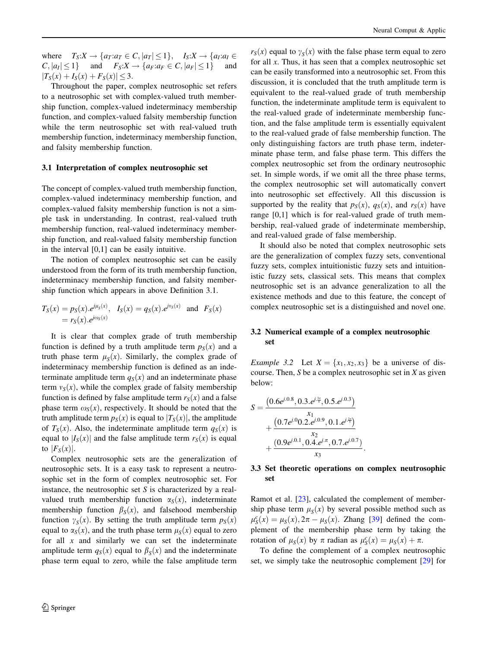where  $T_S: X \to \{a_T : a_T \in C, |a_T| \leq 1\}, \quad I_S: X \to \{a_I : a_I \in C, |a_I| \leq 1\}$  $C, |a_I| \leq 1$  and  $F_S: X \to \{a_F: a_F \in C, |a_F| \leq 1\}$  and  $|T_S(x) + I_S(x) + F_S(x)| \leq 3.$ 

Throughout the paper, complex neutrosophic set refers to a neutrosophic set with complex-valued truth membership function, complex-valued indeterminacy membership function, and complex-valued falsity membership function while the term neutrosophic set with real-valued truth membership function, indeterminacy membership function, and falsity membership function.

#### 3.1 Interpretation of complex neutrosophic set

The concept of complex-valued truth membership function, complex-valued indeterminacy membership function, and complex-valued falsity membership function is not a simple task in understanding. In contrast, real-valued truth membership function, real-valued indeterminacy membership function, and real-valued falsity membership function in the interval [0,1] can be easily intuitive.

The notion of complex neutrosophic set can be easily understood from the form of its truth membership function, indeterminacy membership function, and falsity membership function which appears in above Definition 3.1.

$$
T_S(x) = p_S(x).e^{j\mu_S(x)}, \quad I_S(x) = q_S(x).e^{j\nu_S(x)}
$$
 and  $F_S(x) = r_S(x).e^{j\omega_S(x)}$ 

It is clear that complex grade of truth membership function is defined by a truth amplitude term  $p<sub>S</sub>(x)$  and a truth phase term  $\mu_S(x)$ . Similarly, the complex grade of indeterminacy membership function is defined as an indeterminate amplitude term  $q_S(x)$  and an indeterminate phase term  $v<sub>S</sub>(x)$ , while the complex grade of falsity membership function is defined by false amplitude term  $r<sub>S</sub>(x)$  and a false phase term  $\omega_s(x)$ , respectively. It should be noted that the truth amplitude term  $p_S(x)$  is equal to  $|T_S(x)|$ , the amplitude of  $T_S(x)$ . Also, the indeterminate amplitude term  $q_S(x)$  is equal to  $|I_S(x)|$  and the false amplitude term  $r_S(x)$  is equal to  $|F_S(x)|$ .

Complex neutrosophic sets are the generalization of neutrosophic sets. It is a easy task to represent a neutrosophic set in the form of complex neutrosophic set. For instance, the neutrosophic set  $S$  is characterized by a realvalued truth membership function  $\alpha_S(x)$ , indeterminate membership function  $\beta_{\rm S}(x)$ , and falsehood membership function  $\gamma_S(x)$ . By setting the truth amplitude term  $p_S(x)$ equal to  $\alpha_S(x)$ , and the truth phase term  $\mu_S(x)$  equal to zero for all  $x$  and similarly we can set the indeterminate amplitude term  $q_S(x)$  equal to  $\beta_S(x)$  and the indeterminate phase term equal to zero, while the false amplitude term  $r<sub>S</sub>(x)$  equal to  $\gamma<sub>S</sub>(x)$  with the false phase term equal to zero for all  $x$ . Thus, it has seen that a complex neutrosophic set can be easily transformed into a neutrosophic set. From this discussion, it is concluded that the truth amplitude term is equivalent to the real-valued grade of truth membership function, the indeterminate amplitude term is equivalent to the real-valued grade of indeterminate membership function, and the false amplitude term is essentially equivalent to the real-valued grade of false membership function. The only distinguishing factors are truth phase term, indeterminate phase term, and false phase term. This differs the complex neutrosophic set from the ordinary neutrosophic set. In simple words, if we omit all the three phase terms, the complex neutrosophic set will automatically convert into neutrosophic set effectively. All this discussion is supported by the reality that  $p_S(x)$ ,  $q_S(x)$ , and  $r_S(x)$  have range [0,1] which is for real-valued grade of truth membership, real-valued grade of indeterminate membership, and real-valued grade of false membership.

It should also be noted that complex neutrosophic sets are the generalization of complex fuzzy sets, conventional fuzzy sets, complex intuitionistic fuzzy sets and intuitionistic fuzzy sets, classical sets. This means that complex neutrosophic set is an advance generalization to all the existence methods and due to this feature, the concept of complex neutrosophic set is a distinguished and novel one.

## 3.2 Numerical example of a complex neutrosophic set

*Example 3.2* Let  $X = \{x_1, x_2, x_3\}$  be a universe of discourse. Then,  $S$  be a complex neutrosophic set in  $X$  as given below:

$$
S = \frac{\left(0.6e^{j.0.8}, 0.3.e^{j.\frac{3\pi}{4}}, 0.5.e^{j.0.3}\right)}{x_1} + \frac{\left(0.7e^{j.0}0.2.e^{j.0.9}, 0.1.e^{j.\frac{2\pi}{3}}\right)}{x_2} + \frac{\left(0.9e^{j.0.1}, 0.4.e^{j.\pi}, 0.7.e^{j.0.7}\right)}{x_3}.
$$

# 3.3 Set theoretic operations on complex neutrosophic set

Ramot et al. [[23\]](#page-17-0), calculated the complement of membership phase term  $\mu_S(x)$  by several possible method such as  $\mu_S^c(x) = \mu_S(x), 2\pi - \mu_S(x)$ . Zhang [[39\]](#page-17-0) defined the complement of the membership phase term by taking the rotation of  $\mu_S(x)$  by  $\pi$  radian as  $\mu_S(x) = \mu_S(x) + \pi$ .

To define the complement of a complex neutrosophic set, we simply take the neutrosophic complement [[29\]](#page-17-0) for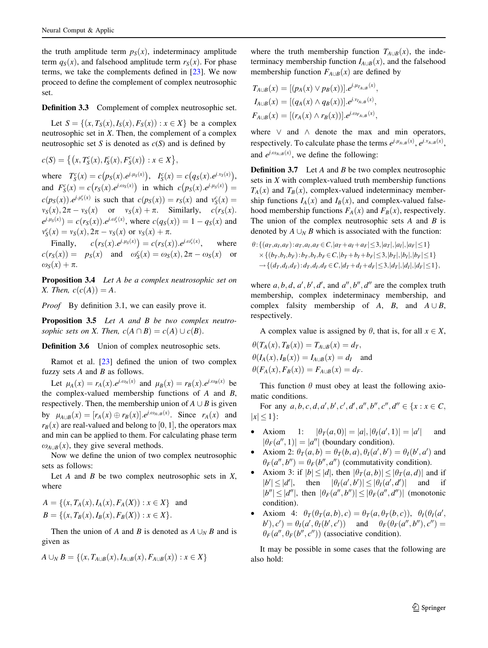the truth amplitude term  $p_S(x)$ , indeterminacy amplitude term  $q_S(x)$ , and falsehood amplitude term  $r_S(x)$ . For phase terms, we take the complements defined in [\[23](#page-17-0)]. We now proceed to define the complement of complex neutrosophic set.

Definition 3.3 Complement of complex neutrosophic set.

Let  $S = \{(x, T_S(x), I_S(x), F_S(x)) : x \in X\}$  be a complex neutrosophic set in X. Then, the complement of a complex neutrosophic set S is denoted as  $c(S)$  and is defined by

$$
c(S) = \big\{ (x, T_S^c(x), I_S^c(x), F_S^c(x)) : x \in X \big\},\
$$

where  $T_S^c(x) = c(p_S(x).e^{i.\mu_S(x)})$ ,  $I_S^c(x) = c(q_S(x).e^{i.\nu_S(x)})$ , and  $F_S(x) = c(r_S(x).e^{i \omega_S(x)})$  in which  $c(p_S(x).e^{i \mu_S(x)}) =$  $c(p_S(x)) \cdot e^{j \cdot \mu_s^c(x)}$  is such that  $c(p_S(x)) = r_S(x)$  and  $v_S^c(x) =$  $v_S(x), 2\pi - v_S(x)$  or  $v_S(x) + \pi$ . Similarly,  $c(r_S(x))$ .  $e^{j \cdot \mu_S(x)} = c(r_S(x)) \cdot e^{j \cdot \omega_s(x)}$ , where  $c(q_S(x)) = 1 - q_S(x)$  and  $v_S^c(x) = v_S(x), 2\pi - v_S(x)$  or  $v_S(x) + \pi$ .

Finally,  $c(r_S(x).e^{j.\mu_S(x)}) = c(r_S(x)).e^{j.\omega_S^c(x)}$ , where  $c(r_S(x)) = p_S(x)$  and  $\omega_S^c(x) = \omega_S(x), 2\pi - \omega_S(x)$  or  $\omega_{\rm S}(x) + \pi$ .

Proposition 3.4 Let A be a complex neutrosophic set on X. Then,  $c(c(A)) = A$ .

Proof By definition 3.1, we can easily prove it.

Proposition 3.5 Let A and B be two complex neutrosophic sets on X. Then,  $c(A \cap B) = c(A) \cup c(B)$ .

Definition 3.6 Union of complex neutrosophic sets.

Ramot et al.  $[23]$  $[23]$  defined the union of two complex fuzzy sets  $A$  and  $B$  as follows.

Let  $\mu_A(x) = r_A(x) e^{j \omega_A(x)}$  and  $\mu_B(x) = r_B(x) e^{j \omega_B(x)}$  be the complex-valued membership functions of  $A$  and  $B$ , respectively. Then, the membership union of  $A \cup B$  is given by  $\mu_{A\cup B}(x) = [r_A(x) \oplus r_B(x)].$  *e<sup>j.o<sub>AUB</sub>*(*x*). Since  $r_A(x)$  and</sup>  $r_B(x)$  are real-valued and belong to [0, 1], the operators max and min can be applied to them. For calculating phase term  $\omega_{A\cup B}(x)$ , they give several methods.

Now we define the union of two complex neutrosophic sets as follows:

Let  $A$  and  $B$  be two complex neutrosophic sets in  $X$ , where

$$
A = \{(x, T_A(x), I_A(x), F_A(X)) : x \in X\} \text{ and}
$$
  

$$
B = \{(x, T_B(x), I_B(x), F_B(X)) : x \in X\}.
$$

Then the union of A and B is denoted as  $A \cup_N B$  and is given as

$$
A \cup_{N} B = \{(x, T_{A \cup B}(x), I_{A \cup B}(x), F_{A \cup B}(x)) : x \in X\}
$$

where the truth membership function  $T_{A\cup B}(x)$ , the indeterminacy membership function  $I_{A\cup B}(x)$ , and the falsehood membership function  $F_{A\cup B}(x)$  are defined by

$$
T_{A\cup B}(x) = [(p_A(x) \vee p_B(x))] \cdot e^{j \cdot \mu_{T_{A\cup B}}(x)},
$$
  
\n
$$
I_{A\cup B}(x) = [(q_A(x) \wedge q_B(x))] \cdot e^{j \cdot \nu_{I_{A\cup B}}(x)},
$$
  
\n
$$
F_{A\cup B}(x) = [(r_A(x) \wedge r_B(x))] \cdot e^{j \cdot \omega_{F_{A\cup B}}(x)},
$$

where  $\vee$  and  $\wedge$  denote the max and min operators, respectively. To calculate phase the terms  $e^{j \cdot \mu_{A \cup B}(x)}$ ,  $e^{j \cdot v_{A \cup B}(x)}$ , and  $e^{j \cdot \omega_{A \cup B}(x)}$ , we define the following:

**Definition 3.7** Let A and B be two complex neutrosophic sets in X with complex-valued truth membership functions  $T_A(x)$  and  $T_B(x)$ , complex-valued indeterminacy membership functions  $I_A(x)$  and  $I_B(x)$ , and complex-valued falsehood membership functions  $F_A(x)$  and  $F_B(x)$ , respectively. The union of the complex neutrosophic sets  $A$  and  $B$  is denoted by  $A \cup_N B$  which is associated with the function:

$$
\theta: \{(a_T, a_I, a_F): a_T, a_I, a_F \in C, |a_T + a_I + a_F| \le 3, |a_T|, |a_I|, |a_F| \le 1\} \times \{(b_T, b_I, b_F): b_T, b_I, b_F \in C, |b_T + b_I + b_F| \le 3, |b_T|, |b_I|, |b_F| \le 1\} \rightarrow \{(d_T, d_I, d_F): d_T, d_I, d_F \in C, |d_T + d_I + d_F| \le 3, |d_T|, |d_I|, |d_F| \le 1\},\
$$

where  $a, b, d, a', b', d'$ , and  $a'', b'', d''$  are the complex truth membership, complex indeterminacy membership, and complex falsity membership of A, B, and  $A \cup B$ , respectively.

A complex value is assigned by  $\theta$ , that is, for all  $x \in X$ ,

$$
\theta(T_A(x), T_B(x)) = T_{A \cup B}(x) = d_T,
$$
  
\n
$$
\theta(I_A(x), I_B(x)) = I_{A \cup B}(x) = d_I \text{ and}
$$
  
\n
$$
\theta(F_A(x), F_B(x)) = F_{A \cup B}(x) = d_F.
$$

This function  $\theta$  must obey at least the following axiomatic conditions.

For any  $a, b, c, d, a', b', c', d', a'', b'', c'', d'' \in \{x : x \in C,$  $|x| \leq 1$ :

- Axiom 1:  $|\theta_T(a, 0)| = |a|, |\theta_I(a', 1)| = |a'|$  and  $|\theta_F(a'', 1)| = |a''|$  (boundary condition).
- Axiom 2:  $\theta_T(a, b) = \theta_T(b, a), \theta_I(a', b') = \theta_I(b', a')$  and  $\theta_F(a'', b'') = \theta_F(b'', a'')$  (commutativity condition).
- Axiom 3: if  $|b| \le |d|$ , then  $|\theta_T(a, b)| \le |\theta_T(a, d)|$  and if  $|b'| \le |d'|$ , then  $|\theta_I(a',b')| \le |\theta_I(a',d')|$  and if  $|b''| \leq |d''|$ , then  $|\theta_F(a'', b'')| \leq |\theta_F(a'', d'')|$  (monotonic condition).
- Axiom 4:  $\theta_T(\theta_T(a, b), c) = \theta_T(a, \theta_T(b, c)), \theta_I(\theta_I(a', b))$  $b'$ ,  $c'$ ) =  $\theta_I(a', \theta_I(b', c'))$  and  $\theta_F(\theta_F(a'', b''), c'')$  =  $\theta_F(a'', \theta_F(b'', c''))$  (associative condition).

It may be possible in some cases that the following are also hold: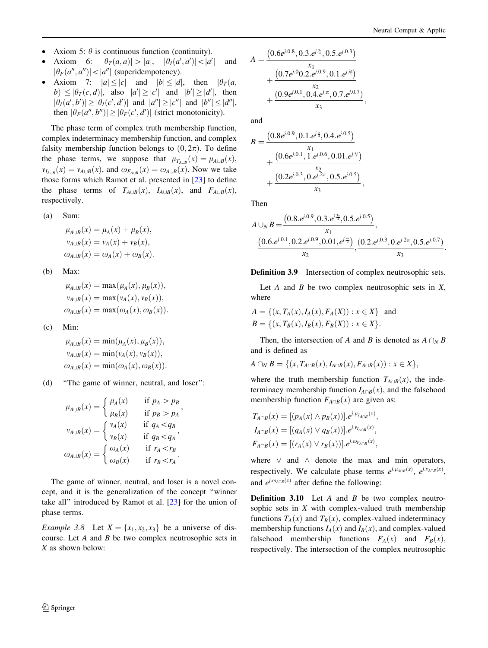- Axiom 5:  $\theta$  is continuous function (continuity).
- Axiom 6:  $|\theta_T(a, a)| > |a|, |\theta_T(a', a')| < |a'|$  and  $|\theta_F(a'', a'')| < |a''|$  (superidempotency).
- Axiom 7:  $|a| \le |c|$  and  $|b| \le |d|$ , then  $|\theta_T(a, \cdot)|$  $|b| \leq |\theta_T(c, d)|$ , also  $|a'| \geq |c'|$  and  $|b'| \geq |d'|$ , then  $|\theta_I(a',b')| \geq |\theta_I(c',d')|$  and  $|a''| \geq |c''|$  and  $|b''| \leq |d''|$ , then  $|\theta_F(a'', b'')| \ge |\theta_F(c', d')|$  (strict monotonicity).

The phase term of complex truth membership function, complex indeterminacy membership function, and complex falsity membership function belongs to  $(0, 2\pi)$ . To define the phase terms, we suppose that  $\mu_{T_{A \cup B}}(x) = \mu_{A \cup B}(x)$ ,  $v_{I_{A\cup B}}(x) = v_{A\cup B}(x)$ , and  $\omega_{F_{A\cup B}}(x) = \omega_{A\cup B}(x)$ . Now we take those forms which Ramot et al. presented in [\[23](#page-17-0)] to define the phase terms of  $T_{A\cup B}(x)$ ,  $I_{A\cup B}(x)$ , and  $F_{A\cup B}(x)$ , respectively.

$$
(a) Sum:
$$

$$
\mu_{A\cup B}(x) = \mu_A(x) + \mu_B(x),
$$
  
\n
$$
\nu_{A\cup B}(x) = \nu_A(x) + \nu_B(x),
$$
  
\n
$$
\omega_{A\cup B}(x) = \omega_A(x) + \omega_B(x).
$$

(b) Max:

$$
\mu_{A\cup B}(x) = \max(\mu_A(x), \mu_B(x)),
$$
  
\n
$$
\nu_{A\cup B}(x) = \max(\nu_A(x), \nu_B(x)),
$$
  
\n
$$
\omega_{A\cup B}(x) = \max(\omega_A(x), \omega_B(x)).
$$

(c) Min:

$$
\mu_{A\cup B}(x) = \min(\mu_A(x), \mu_B(x)),
$$
  
\n
$$
\nu_{A\cup B}(x) = \min(\nu_A(x), \nu_B(x)),
$$
  
\n
$$
\omega_{A\cup B}(x) = \min(\omega_A(x), \omega_B(x)).
$$

(d) ''The game of winner, neutral, and loser'':

$$
\mu_{A\cup B}(x) = \begin{cases}\n\mu_A(x) & \text{if } p_A > p_B \\
\mu_B(x) & \text{if } p_B > p_A\n\end{cases},
$$
\n
$$
\nu_{A\cup B}(x) = \begin{cases}\n\nu_A(x) & \text{if } q_A < q_B \\
\nu_B(x) & \text{if } q_B < q_A\n\end{cases},
$$
\n
$$
\omega_{A\cup B}(x) = \begin{cases}\n\omega_A(x) & \text{if } r_A < r_B \\
\omega_B(x) & \text{if } r_B < r_A\n\end{cases}.
$$

The game of winner, neutral, and loser is a novel concept, and it is the generalization of the concept ''winner take all'' introduced by Ramot et al. [\[23](#page-17-0)] for the union of phase terms.

*Example 3.8* Let  $X = \{x_1, x_2, x_3\}$  be a universe of discourse. Let A and B be two complex neutrosophic sets in X as shown below:

$$
A = \frac{\left(0.6e^{j.0.8}, 0.3.e^{j.\frac{3\pi}{4}}, 0.5.e^{j.0.3}\right)}{x_1} + \frac{\left(0.7e^{j.0}0.2.e^{j.0.9}, 0.1.e^{j.\frac{2\pi}{3}}\right)}{x_2} + \frac{\left(0.9e^{j.0.1}, 0.4.e^{j.\pi}, 0.7.e^{j.0.7}\right)}{x_3}
$$

and

$$
B = \frac{\left(0.8e^{j.0.9}, 0.1.e^{j.\bar{z}}, 0.4.e^{j.0.5}\right)}{+\left(\frac{0.6e^{j.0.1}, 1.e^{j.0.6}, 0.01.e^{j.\bar{z}}}{x_2}\right)}{+\left(\frac{0.2e^{j.0.3}, 0.e^{j.2\pi}, 0.5.e^{j.0.5}\right)}{x_3}},
$$

Then

$$
A \cup_{N} B = \frac{(0.8.e^{j.0.9}, 0.3.e^{j.\frac{3\pi}{4}}, 0.5.e^{j.0.5})}{x_1},
$$
  

$$
\frac{(0.6.e^{j.0.1}, 0.2.e^{j.0.9}, 0.01.e^{j.\frac{4\pi}{3}})}{x_2}, \frac{(0.2.e^{j.0.3}, 0.e^{j.2\pi}, 0.5.e^{j.0.7})}{x_3}.
$$

;

#### Definition 3.9 Intersection of complex neutrosophic sets.

Let  $A$  and  $B$  be two complex neutrosophic sets in  $X$ , where

$$
A = \{(x, T_A(x), I_A(x), F_A(X)) : x \in X\} \text{ and}
$$
  

$$
B = \{(x, T_B(x), I_B(x), F_B(X)) : x \in X\}.
$$

Then, the intersection of A and B is denoted as  $A \cap_{N} B$ and is defined as

$$
A \cap_N B = \{ (x, T_{A \cap B}(x), I_{A \cap B}(x), F_{A \cap B}(x)) : x \in X \},
$$

where the truth membership function  $T_{A\cap B}(x)$ , the indeterminacy membership function  $I_{A\cap B}(x)$ , and the falsehood membership function  $F_{A\cap B}(x)$  are given as:

$$
T_{A\cap B}(x) = [(p_A(x) \wedge p_B(x))].e^{j.\mu_{T_{A\cap B}}(x)},
$$
  
\n
$$
I_{A\cap B}(x) = [(q_A(x) \vee q_B(x))].e^{j.\nu_{A\cap B}(x)},
$$
  
\n
$$
F_{A\cap B}(x) = [(r_A(x) \vee r_B(x))].e^{j.\omega_{F_{A\cap B}}(x)},
$$

where  $\vee$  and  $\wedge$  denote the max and min operators, respectively. We calculate phase terms  $e^{j \cdot \mu_{A \cap B}(x)}$ ,  $e^{j \cdot v_{A \cap B}(x)}$ , and  $e^{j.\omega_{A\cap B}(x)}$  after define the following:

**Definition 3.10** Let A and B be two complex neutrosophic sets in  $X$  with complex-valued truth membership functions  $T_A(x)$  and  $T_B(x)$ , complex-valued indeterminacy membership functions  $I_A(x)$  and  $I_B(x)$ , and complex-valued falsehood membership functions  $F_A(x)$  and  $F_B(x)$ , respectively. The intersection of the complex neutrosophic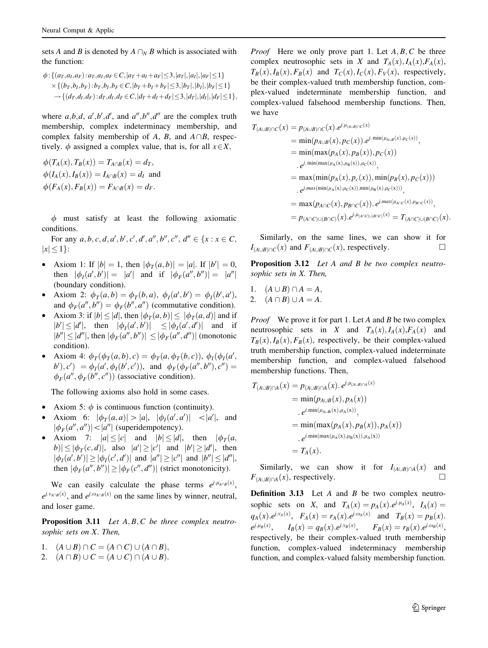sets A and B is denoted by  $A \cap_{N} B$  which is associated with the function:

$$
\phi: \{(a_T, a_I, a_F): a_T, a_I, a_F \in C, |a_T + a_I + a_F| \le 3, |a_T|, |a_I|, |a_F| \le 1\} \times \{(b_T, b_I, b_F): b_T, b_I, b_F \in C, |b_T + b_I + b_F| \le 3, |b_T|, |b_I|, |b_F| \le 1\} \rightarrow \{(d_T, d_I, d_F): d_T, d_I, d_F \in C, |d_T + d_I + d_F| \le 3, |d_T|, |d_I|, |d_F| \le 1\},\
$$

where  $a, b, d, a', b', d'$ , and  $a'', b'', d''$  are the complex truth membership, complex indeterminacy membership, and complex falsity membership of A, B, and  $A\cap B$ , respectively.  $\phi$  assigned a complex value, that is, for all  $x \in X$ ;

$$
\phi(T_A(x), T_B(x)) = T_{A \cap B}(x) = d_T,
$$
  
\n
$$
\phi(I_A(x), I_B(x)) = I_{A \cap B}(x) = d_I \text{ and}
$$
  
\n
$$
\phi(F_A(x), F_B(x)) = F_{A \cap B}(x) = d_F.
$$

 $\phi$  must satisfy at least the following axiomatic conditions.

For any  $a, b, c, d, a', b', c', d', a'', b'', c'', d'' \in \{x : x \in C,$  $|x| \leq 1$ :

- Axiom 1: If  $|b| = 1$ , then  $|\phi_T(a, b)| = |a|$ . If  $|b'| = 0$ , then  $|\phi_I(a', b')| = |a'|$  and if  $|\phi_F(a'', b'')| = |a''|$ (boundary condition).
- Axiom 2:  $\phi_T(a, b) = \phi_T(b, a), \ \phi_I(a', b') = \phi_I(b', a'),$ and  $\phi_F(a'', b'') = \phi_F(b'', a'')$  (commutative condition).
- Axiom 3: if  $|b| \le |d|$ , then  $|\phi_T(a, b)| \le |\phi_T(a, d)|$  and if  $|b'| \le |d'|$ , then  $|\phi_I(a', b')| \le |\phi_I(a', d')|$  and if  $|b''| \leq |d''|$ , then  $|\phi_F(a'', b'')| \leq |\phi_F(a'', d'')|$  (monotonic condition).
- Axiom 4:  $\phi_T(\phi_T(a, b), c) = \phi_T(a, \phi_T(b, c))$ ,  $\phi_I(\phi_I(a', b))$  $b'$ ,  $c'$ ) =  $\phi_I(a', \phi_I(b', c'))$ , and  $\phi_F(\phi_F(a'', b''), c'')$  =  $\phi_F(a'', \phi_F(b'', c''))$  (associative condition).

The following axioms also hold in some cases.

- Axiom 5:  $\phi$  is continuous function (continuity).
- Axiom 6:  $|\phi_T(a, a)| > |a|, |\phi_T(a', a')| < |a'|$ , and  $|\phi_F(a'', a'')| < |a''|$  (superidempotency).
- Axiom 7:  $|a| \le |c|$  and  $|b| \le |d|$ , then  $|\phi_T(a, \cdot)|$  $|b| \leq |\phi_T(c, d)|$ , also  $|a'| \geq |c'|$  and  $|b'| \geq |d'|$ , then  $|\phi_I(a',b')| \ge |\phi_I(c',d')|$  and  $|a''| \ge |c''|$  and  $|b''| \le |d''|$ , then  $|\phi_F(a'', b'')| \ge |\phi_F(c'', d'')|$  (strict monotonicity).

We can easily calculate the phase terms  $e^{j \cdot \mu_{A \cap B}(x)}$ ,  $e^{j \cdot v_{A \cap B}(x)}$ , and  $e^{j \cdot \omega_{A \cap B}(x)}$  on the same lines by winner, neutral, and loser game.

**Proposition 3.11** Let  $A, B, C$  be three complex neutrosophic sets on X. Then,

- 1.  $(A \cup B) \cap C = (A \cap C) \cup (A \cap B),$
- 2.  $(A \cap B) \cup C = (A \cup C) \cap (A \cup B).$

*Proof* Here we only prove part 1. Let  $A, B, C$  be three complex neutrosophic sets in X and  $T_A(x)$ ,  $I_A(x)$ ,  $F_A(x)$ ,  $T_B(x)$ ,  $I_B(x)$ ,  $F_B(x)$  and  $T_C(x)$ ,  $I_C(x)$ ,  $F_V(x)$ , respectively, be their complex-valued truth membership function, complex-valued indeterminate membership function, and complex-valued falsehood membership functions. Then, we have

$$
T_{(A\cup B)\cap C}(x) = p_{(A\cup B)\cap C}(x).e^{j.\mu_{(A\cup B)\cap C}(x)}
$$
  
\n
$$
= \min(p_{A\cup B}(x), p_{C}(x)).e^{j.\min(\mu_{A\cup B}(x),\mu_{C}(x))},
$$
  
\n
$$
= \min(\max(p_{A}(x), p_{B}(x)), p_{C}(x))
$$
  
\n
$$
= e^{j.\min(\max(\mu_{A}(x),\mu_{B}(x)),\mu_{C}(x))},
$$
  
\n
$$
= \max(\min(p_{A}(x), p_{C}(x)), \min(p_{B}(x), p_{C}(x)))
$$
  
\n
$$
= e^{j.\max(\min(\mu_{A}(x),\mu_{C}(x)), \min(\mu_{B}(x),\mu_{C}(x)))},
$$
  
\n
$$
= \max(p_{A\cap C}(x), p_{B\cap C}(x)).e^{j.\max(\mu_{A\cap C}(x),\mu_{B\cap C}(x))},
$$
  
\n
$$
= p_{(A\cap C)\cup(B\cap C)}(x).e^{j.\mu_{(A\cap C)\cup(B\cap C)}(x) = T_{(A\cap C)\cup(B\cap C)}(x).
$$

Similarly, on the same lines, we can show it for  $I_{(A\cup B)\cap C}(x)$  and  $F_{(A\cup B)\cap C}(x)$ , respectively.

Proposition 3.12 Let A and B be two complex neutrosophic sets in X. Then,

1.  $(A \cup B) \cap A = A$ , 2.  $(A \cap B) \cup A = A.$ 

*Proof* We prove it for part 1. Let A and B be two complex neutrosophic sets in X and  $T_A(x)$ ,  $I_A(x)$ ,  $F_A(x)$  and  $T_B(x)$ ,  $I_B(x)$ ,  $F_B(x)$ , respectively, be their complex-valued truth membership function, complex-valued indeterminate membership function, and complex-valued falsehood membership functions. Then,

$$
T_{(A\cup B)\cap A}(x) = p_{(A\cup B)\cap A}(x). e^{j.\mu_{(A\cup B)\cap A}(x)}
$$
  
\n
$$
= \min(p_{A\cup B}(x), p_A(x))
$$
  
\n
$$
e^{i.\min(\mu_{A\cup B}(x), \mu_A(x))},
$$
  
\n
$$
= \min(\max(p_A(x), p_B(x)), p_A(x))
$$
  
\n
$$
e^{i.\min(\max(\mu_A(x), \mu_B(x)), \mu_A(x))}
$$
  
\n
$$
= T_A(x).
$$

Similarly, we can show it for  $I_{(A\cup B)\cap A}(x)$  and  $F_{(A\cup B)\cap A}(x)$ , respectively.

**Definition 3.13** Let  $A$  and  $B$  be two complex neutrosophic sets on X, and  $T_A(x) = p_A(x) e^{j \cdot \mu_A(x)}$ ,  $I_A(x) =$  $q_A(x).e^{j.v_A(x)}, F_A(x) = r_A(x).e^{j.o_A(x)}$  and  $T_B(x) = p_B(x).$  $e^{j.\mu_B(x)}$ ,  $I_B(x) = q_B(x) \cdot e^{j.\nu_B(x)}$ ,  $F_B(x) = r_B(x) \cdot e^{j.\omega_B(x)}$ , respectively, be their complex-valued truth membership function, complex-valued indeterminacy membership function, and complex-valued falsity membership function.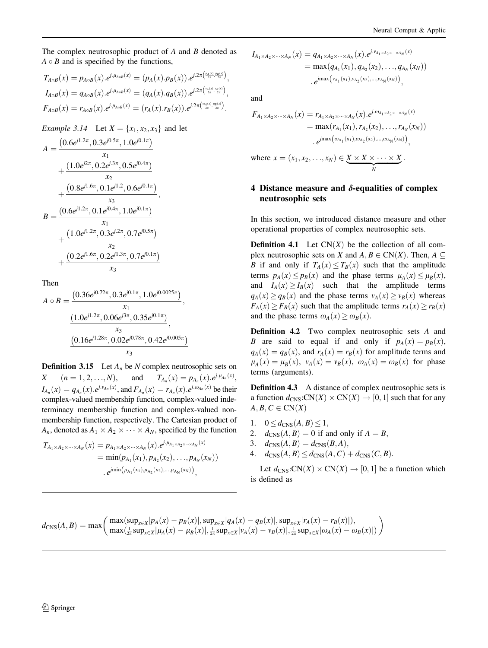<span id="page-9-0"></span>The complex neutrosophic product of A and B denoted as  $A \circ B$  and is specified by the functions,

$$
T_{A \circ B}(x) = p_{A \circ B}(x).e^{j.\mu_{A \circ B}(x)} = (p_A(x).p_B(x)).e^{j.2\pi(\frac{\mu_A(x)}{2\pi} \cdot \frac{\mu_B(x)}{2\pi})},
$$
  
\n
$$
I_{A \circ B}(x) = q_{A \circ B}(x).e^{j.\mu_{A \circ B}(x)} = (q_A(x).q_B(x)).e^{j.2\pi(\frac{\nu_A(x)}{2\pi} \cdot \frac{\nu_B(x)}{2\pi})},
$$
  
\n
$$
F_{A \circ B}(x) = r_{A \circ B}(x).e^{j.\mu_{A \circ B}(x)} = (r_A(x).r_B(x)).e^{j.2\pi(\frac{\nu_A(x)}{2\pi} \cdot \frac{\nu_B(x)}{2\pi})}.
$$

*Example 3.14* Let  $X = \{x_1, x_2, x_3\}$  and let

$$
A = \frac{\left(0.6e^{j1.2\pi}, 0.3e^{j0.5\pi}, 1.0e^{j0.1\pi}\right)}{x_1} + \frac{\left(1.0e^{j2\pi}, 0.2e^{j.3\pi}, 0.5e^{j0.4\pi}\right)}{x_2} + \frac{\left(0.8e^{j1.6\pi}, 0.1e^{j1.2}, 0.6e^{j0.1\pi}\right)}{x_3} B = \frac{\left(0.6e^{j1.2\pi}, 0.1e^{j0.4\pi}, 1.0e^{j0.1\pi}\right)}{x_1} + \frac{\left(1.0e^{j1.2\pi}, 0.3e^{j.2\pi}, 0.7e^{j0.5\pi}\right)}{x_2} + \frac{\left(0.2e^{j1.6\pi}, 0.2e^{j1.3\pi}, 0.7e^{j0.1\pi}\right)}{x_3}
$$

Then

$$
A \circ B = \frac{\left(0.36e^{j0.72\pi}, 0.3e^{j0.1\pi}, 1.0e^{j0.0025\pi}\right)}{x_1}, \frac{\left(1.0e^{j1.2\pi}, 0.06e^{j3\pi}, 0.35e^{j0.1\pi}\right)}{x_3}, \frac{\left(0.16e^{j1.28\pi}, 0.02e^{j0.78\pi}, 0.42e^{j0.005\pi}\right)}{x_3}
$$

**Definition 3.15** Let  $A_n$  be N complex neutrosophic sets on  $X \quad (n = 1, 2, \ldots, N), \quad \text{and} \quad T_{A_n}(x) = p_{A_n}(x) \cdot e^{j \cdot \mu_{A_n}(x)},$  $I_{A_n}(x) = q_{A_n}(x) e^{j \cdot v_{A_n}(x)}$ , and  $F_{A_n}(x) = r_{A_n}(x) e^{j \cdot v_{A_n}(x)}$  be their complex-valued membership function, complex-valued indeterminacy membership function and complex-valued nonmembership function, respectively. The Cartesian product of  $A_n$ , denoted as  $A_1 \times A_2 \times \cdots \times A_N$ , specified by the function

$$
T_{A_1 \times A_2 \times \cdots \times A_N}(x) = p_{A_1 \times A_2 \times \cdots \times A_N}(x).e^{j.\mu_{A_1 \times A_2 \times \cdots \times A_N}(x)}
$$
  
= min $(p_{A_1}(x_1), p_{A_2}(x_2), ..., p_{A_N}(x_N))$   
.  $e^{jmin(\mu_{A_1}(x_1), \mu_{A_2}(x_2), ..., \mu_{A_N}(x_N))},$ 

$$
I_{A_1 \times A_2 \times \cdots \times A_N}(x) = q_{A_1 \times A_2 \times \cdots \times A_N}(x).e^{j.v_{A_1 \times A_2 \times \cdots \times A_N}(x)}
$$
  
= max $(q_{A_1}(x_1), q_{A_2}(x_2), \ldots, q_{A_N}(x_N))$   
.  $e^{imax(v_{A_1}(x_1), v_{A_2}(x_2), \ldots, v_{A_N}(x_N))},$ 

and

$$
F_{A_1 \times A_2 \times \cdots \times A_N}(x) = r_{A_1 \times A_2 \times \cdots \times A_N}(x).e^{j.\omega_{A_1 \times A_2 \times \cdots \times A_N}(x)}
$$
  
= max(r<sub>A<sub>1</sub></sub>(x<sub>1</sub>), r<sub>A<sub>2</sub></sub>(x<sub>2</sub>), ..., r<sub>A<sub>N</sub></sub>(x<sub>N</sub>))  
. 
$$
e^{j \max(\omega_{A_1}(x_1), \omega_{A_2}(x_2), ..., \omega_{A_N}(x_N))},
$$

where 
$$
x = (x_1, x_2, ..., x_N) \in \underbrace{X \times X \times \cdots \times X}_{N}
$$
.

# 4 Distance measure and  $\delta$ -equalities of complex neutrosophic sets

In this section, we introduced distance measure and other operational properties of complex neutrosophic sets.

**Definition 4.1** Let  $CN(X)$  be the collection of all complex neutrosophic sets on X and  $A, B \in CN(X)$ . Then,  $A \subseteq$ B if and only if  $T_A(x) \leq T_B(x)$  such that the amplitude terms  $p_A(x) \leq p_B(x)$  and the phase terms  $\mu_A(x) \leq \mu_B(x)$ , and  $I_A(x) \geq I_B(x)$  such that the amplitude terms  $q_A(x) > q_B(x)$  and the phase terms  $v_A(x) > v_B(x)$  whereas  $F_A(x) \geq F_B(x)$  such that the amplitude terms  $r_A(x) \geq r_B(x)$ and the phase terms  $\omega_A(x) \geq \omega_B(x)$ .

Definition 4.2 Two complex neutrosophic sets A and B are said to equal if and only if  $p_A(x) = p_B(x)$ ,  $q_A(x) = q_B(x)$ , and  $r_A(x) = r_B(x)$  for amplitude terms and  $\mu_A(x) = \mu_B(x), \ \nu_A(x) = \nu_B(x), \ \omega_A(x) = \omega_B(x)$  for phase terms (arguments).

Definition 4.3 A distance of complex neutrosophic sets is a function  $d_{CNS}:\mathbb{CN}(X)\times \mathbb{CN}(X) \to [0,1]$  such that for any  $A, B, C \in CN(X)$ 

- 1.  $0 \leq d_{\text{CNS}}(A, B) \leq 1$ ,
- 2.  $d_{CNS}(A, B) = 0$  if and only if  $A = B$ ,
- 3.  $d_{\text{CNS}}(A, B) = d_{\text{CNS}}(B, A),$
- 4.  $d_{CNS}(A, B) \leq d_{CNS}(A, C) + d_{CNS}(C, B).$

Let  $d_{CNS}:\text{CN}(X)\times \text{CN}(X) \rightarrow [0,1]$  be a function which is defined as

$$
d_{\text{CNS}}(A, B) = \max \bigg( \max(\sup_{x \in X} |p_A(x) - p_B(x)|, \sup_{x \in X} |q_A(x) - q_B(x)|, \sup_{x \in X} |r_A(x) - r_B(x)|),
$$
  

$$
\max(\frac{1}{2\pi} \sup_{x \in X} |p_A(x) - \mu_B(x)|, \frac{1}{2\pi} \sup_{x \in X} |v_A(x) - v_B(x)|, \frac{1}{2\pi} \sup_{x \in X} |c_A(x) - c_B(x)|) \bigg)
$$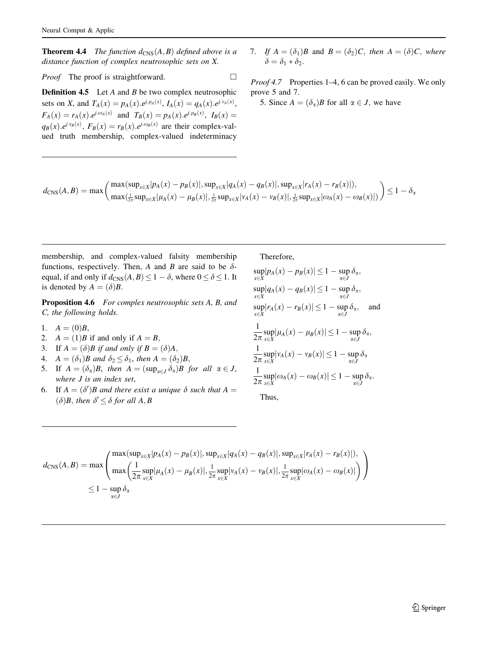**Theorem 4.4** The function  $d_{\text{CNS}}(A, B)$  defined above is a distance function of complex neutrosophic sets on X.

*Proof* The proof is straightforward.  $\Box$ 

**Definition 4.5** Let A and B be two complex neutrosophic sets on X, and  $T_A(x) = p_A(x) \cdot e^{j \cdot \mu_A(x)}$ ,  $I_A(x) = q_A(x) \cdot e^{j \cdot \nu_A(x)}$ ,  $F_A(x) = r_A(x) e^{j \omega_A(x)}$  and  $T_B(x) = p_A(x) e^{j \omega_B(x)}$ ,  $I_B(x) =$  $q_B(x)$ . $e^{j.y_B(x)}$ ,  $F_B(x) = r_B(x)$ . $e^{j.\omega_B(x)}$  are their complex-valued truth membership, complex-valued indeterminacy

7. If  $A = (\delta_1)B$  and  $B = (\delta_2)C$ , then  $A = (\delta)C$ , where  $\delta = \delta_1 * \delta_2.$ 

Proof 4.7 Properties 1–4, 6 can be proved easily. We only prove 5 and 7.

5. Since  $A = (\delta_{\alpha})B$  for all  $\alpha \in J$ , we have

$$
d_{\text{CNS}}(A, B) = \max \bigg( \max \limits_{\substack{ \text{max} \\ } \max \left( \frac{1}{2\pi} \sup_{x \in X} |p_A(x) - p_B(x)|, \sup_{x \in X} |q_A(x) - q_B(x)|, \sup_{x \in X} |r_A(x) - r_B(x)| \right), \newline \sum \limits_{\substack{ \text{max} \\ x \in X}} \max \left( \frac{1}{2\pi} \sup_{x \in X} |p_A(x) - p_B(x)|, \frac{1}{2\pi} \sup_{x \in X} |p_A(x) - p_B(x)|, \frac{1}{2\pi} \sup_{x \in X} |q_A(x) - q_B(x)| \right) \bigg) \leq 1 - \delta_{\text{max}} \bigg( \frac{1}{2\pi} \sup_{x \in X} |p_A(x) - p_B(x)|, \sup_{x \in X} |p_A(x) - p_B(x)|, \frac{1}{2\pi} \sup_{x \in X} |p_A(x) - p_B(x)| \bigg)
$$

membership, and complex-valued falsity membership functions, respectively. Then, A and B are said to be  $\delta$ equal, if and only if  $d_{\text{CNS}}(A, B) \leq 1 - \delta$ , where  $0 \leq \delta \leq 1$ . It is denoted by  $A = (\delta)B$ .

Proposition 4.6 For complex neutrosophic sets A, B, and C, the following holds.

- 1.  $A = (0)B$ ,
- 2.  $A = (1)B$  if and only if  $A = B$ ,
- 3. If  $A = (\delta)B$  if and only if  $B = (\delta)A$ ,
- 4.  $A = (\delta_1)B$  and  $\delta_2 \leq \delta_1$ , then  $A = (\delta_2)B$ ,
- 5. If  $A = (\delta_{\alpha})B$ , then  $A = (\sup_{\alpha \in J} \delta_{\alpha})B$  for all  $\alpha \in J$ , where J is an index set,
- 6. If  $A = (\delta')B$  and there exist a unique  $\delta$  such that  $A = \delta$  $(\delta)B$ , then  $\delta' \leq \delta$  for all A, B

$$
\sup_{x \in X} |p_A(x) - p_B(x)| \le 1 - \sup_{\alpha \in J} \delta_{\alpha},
$$
  
\n
$$
\sup_{x \in X} |q_A(x) - q_B(x)| \le 1 - \sup_{\alpha \in J} \delta_{\alpha},
$$
  
\n
$$
\sup_{x \in X} |r_A(x) - r_B(x)| \le 1 - \sup_{\alpha \in J} \delta_{\alpha},
$$
 and  
\n
$$
\frac{1}{2\pi} \sup_{x \in X} |\mu_A(x) - \mu_B(x)| \le 1 - \sup_{\alpha \in J} \delta_{\alpha},
$$
  
\n
$$
\frac{1}{2\pi} \sup_{x \in X} |v_A(x) - v_B(x)| \le 1 - \sup_{\alpha \in J} \delta_{\alpha}
$$
  
\n
$$
\frac{1}{2\pi} \sup_{x \in X} |\omega_A(x) - \omega_B(x)| \le 1 - \sup_{\alpha \in J} \delta_{\alpha}.
$$

Thus,

Therefore,

$$
d_{\text{CNS}}(A, B) = \max \left( \frac{\max(\sup_{x \in X} |p_A(x) - p_B(x)|, \sup_{x \in X} |q_A(x) - q_B(x)|, \sup_{x \in X} |r_A(x) - r_B(x)|),}{\max \left( \frac{1}{2\pi} \sup_{x \in X} |\mu_A(x) - \mu_B(x)|, \frac{1}{2\pi} \sup_{x \in X} |v_A(x) - v_B(x)|, \frac{1}{2\pi} \sup_{x \in X} |\omega_A(x) - \omega_B(x)| \right)} \right)
$$
  
 
$$
\leq 1 - \sup_{\alpha \in J} \delta_{\alpha}
$$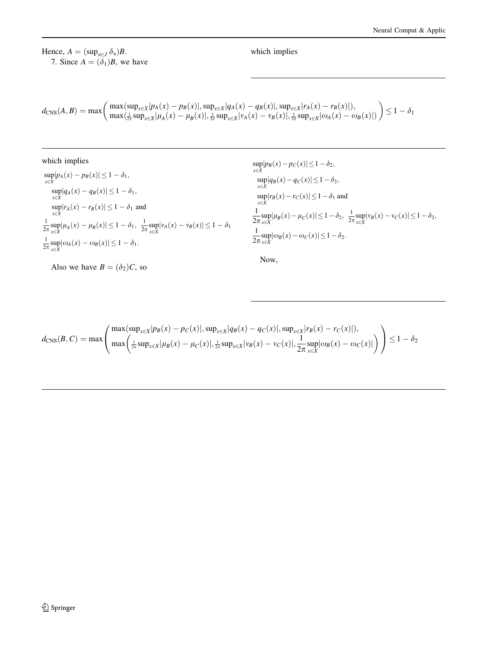Hence,  $A = (\sup_{\alpha \in J} \delta_{\alpha})B$ . 7. Since  $A = (\delta_1)B$ , we have which implies

$$
d_{\text{CNS}}(A, B) = \max \bigg( \max \limits_{\text{max}} (\sup_{x \in X} |p_A(x) - p_B(x)|, \sup_{x \in X} |q_A(x) - q_B(x)|, \sup_{x \in X} |r_A(x) - r_B(x)|), \\ \max \bigl( \frac{1}{2\pi} \sup_{x \in X} |p_A(x) - \mu_B(x)|, \frac{1}{2\pi} \sup_{x \in X} |p_A(x) - \nu_B(x)|, \frac{1}{2\pi} \sup_{x \in X} |o_A(x) - o_B(x)| \bigr) \bigg) \leq 1 - \delta_1
$$

which implies  $\sup_{x \in X} |p_A(x) - p_B(x)| \leq 1 - \delta_1,$  $\sup_{x \in X} |q_A(x) - q_B(x)| \leq 1 - \delta_1,$  $\sup_{x \in X} |r_A(x) - r_B(x)| \leq 1 - \delta_1$  and  $\frac{1}{2\pi} \sup_{x \in X} |\mu_A(x) - \mu_B(x)| \leq 1 - \delta_1, \ \ \frac{1}{2\pi} \sup_{x \in X} |\nu_A(x) - \nu_B(x)| \leq 1 - \delta_1$  $\frac{1}{2\pi} \sup_{x \in X} |\omega_A(x) - \omega_B(x)| \leq 1 - \delta_1.$ 

Also we have  $B = (\delta_2)C$ , so

$$
\sup_{x \in X} |p_B(x) - p_C(x)| \le 1 - \delta_2,\n\sup_{x \in X} |q_B(x) - q_C(x)| \le 1 - \delta_2,\n\sup_{x \in X} |r_B(x) - r_C(x)| \le 1 - \delta_1 \text{ and}\n\frac{1}{2\pi} \sup_{x \in X} |\mu_B(x) - \mu_C(x)| \le 1 - \delta_2, \quad \frac{1}{2\pi} \sup_{x \in X} |v_B(x) - v_C(x)| \le 1 - \delta_2,\n\frac{1}{2\pi} \sup_{x \in X} |\omega_B(x) - \omega_C(x)| \le 1 - \delta_2.
$$

Now,

$$
d_{\text{CNS}}(B,C) = \max \left( \frac{\max(\sup_{x \in X} |p_B(x) - p_C(x)|, \sup_{x \in X} |q_B(x) - q_C(x)|, \sup_{x \in X} |r_B(x) - r_C(x)|),}{\max \left( \frac{1}{2\pi} \sup_{x \in X} |\mu_B(x) - \mu_C(x)|, \frac{1}{2\pi} \sup_{x \in X} |v_B(x) - v_C(x)|, \frac{1}{2\pi} \sup_{x \in X} |\omega_B(x) - \omega_C(x)| \right)} \right) \le 1 - \delta_2
$$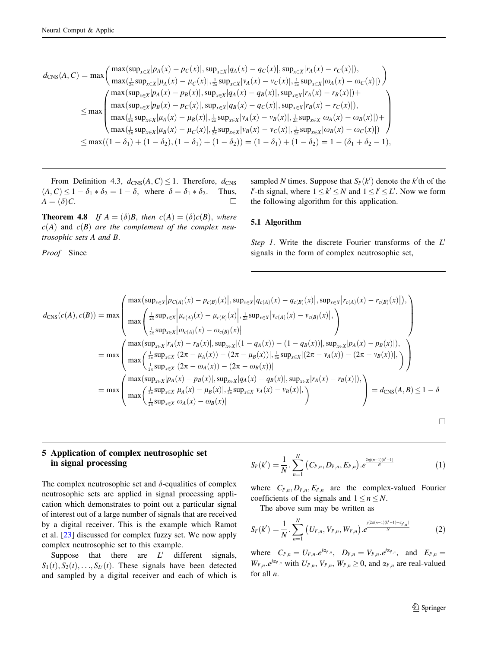<span id="page-12-0"></span>
$$
d_{\text{CNS}}(A, C) = \max \left( \frac{\max(\sup_{x \in X} | p_A(x) - p_C(x)|, \sup_{x \in X} | q_A(x) - q_C(x)|, \sup_{x \in X} | r_A(x) - r_C(x)|),}{\max(\frac{1}{2\pi} \sup_{x \in X} | p_A(x) - p_C(x)|, \frac{1}{2\pi} \sup_{x \in X} | p_A(x) - v_C(x)|, \frac{1}{2\pi} \sup_{x \in X} | \omega_A(x) - \omega_C(x)|)} \right)
$$
\n
$$
\leq \max \left( \frac{\max(\sup_{x \in X} | p_A(x) - p_B(x)|, \sup_{x \in X} | q_A(x) - q_B(x)|, \sup_{x \in X} | r_A(x) - r_B(x)|) +}{\max(\sup_{x \in X} | p_B(x) - p_C(x)|, \sup_{x \in X} | q_B(x) - q_C(x)|, \sup_{x \in X} | r_B(x) - r_C(x)|),}
$$
\n
$$
\max(\frac{1}{2\pi} \sup_{x \in X} | \mu_A(x) - \mu_B(x)|, \frac{1}{2\pi} \sup_{x \in X} | \nu_A(x) - \nu_B(x)|, \frac{1}{2\pi} \sup_{x \in X} | \omega_A(x) - \omega_B(x)|) + \right)
$$
\n
$$
\leq \max((1 - \delta_1) + (1 - \delta_2), (1 - \delta_1) + (1 - \delta_2)) = (1 - \delta_1) + (1 - \delta_2) = 1 - (\delta_1 + \delta_2 - 1),
$$

From Definition 4.3,  $d_{CNS}(A, C) \leq 1$ . Therefore,  $d_{CNS}$  $(A, C) \leq 1 - \delta_1 * \delta_2 = 1 - \delta$ , where  $\delta = \delta_1 * \delta_2$ . Thus,  $A = (\delta)C.$ 

**Theorem 4.8** If  $A = (\delta)B$ , then  $c(A) = (\delta)c(B)$ , where  $c(A)$  and  $c(B)$  are the complement of the complex neutrosophic sets A and B.

Proof Since

sampled N times. Suppose that  $S_{\ell}(k')$  denote the k'th of the l'-th signal, where  $1 \le k' \le N$  and  $1 \le l' \le L'$ . Now we form the following algorithm for this application.

#### 5.1 Algorithm

Step 1. Write the discrete Fourier transforms of the  $L'$ signals in the form of complex neutrosophic set,

$$
d_{\text{CNS}}(c(A), c(B)) = \max \left( \frac{\max(\sup_{x \in X} |p_{C(A)}(x) - p_{c(B)}(x)|, \sup_{x \in X} |q_{c(A)}(x) - q_{c(B)}(x)|, \sup_{x \in X} |r_{c(A)}(x) - r_{c(B)}(x)|), \right)
$$
  
\n
$$
d_{\text{CNS}}(c(A), c(B)) = \max \left( \frac{\frac{1}{2\pi} \sup_{x \in X} |p_{c(A)}(x) - p_{c(B)}(x)|, \frac{1}{2\pi} \sup_{x \in X} |v_{c(A)}(x) - v_{c(B)}(x)|, \frac{1}{2\pi} \sup_{x \in X} |q_{c(A)}(x) - q_{c(B)}(x)|, \frac{1}{2\pi} \sup_{x \in X} |q_{c(A)}(x) - q_{c(B)}(x)| \right)
$$
  
\n
$$
= \max \left( \frac{\max(\sup_{x \in X} |r_A(x) - r_B(x)|, \sup_{x \in X} |(1 - q_A(x)) - (1 - q_B(x))|, \frac{1}{2\pi} \sup_{x \in X} |p_A(x) - p_B(x)|), \frac{1}{2\pi} \sup_{x \in X} |(2\pi - v_A(x)) - (2\pi - v_B(x))| \right)
$$
  
\n
$$
= \max \left( \frac{\max(\sup_{x \in X} |p_A(x) - p_B(x)|, \sup_{x \in X} |q_A(x) - q_B(x)|, \sup_{x \in X} |r_A(x) - r_B(x)|), \frac{1}{2\pi} \sup_{x \in X} |r_A(x) - r_B(x)|, \frac{1}{2\pi} \sup_{x \in X} |r_A(x) - r_B(x)|, \frac{1}{2\pi} \sup_{x \in X} |r_A(x) - r_B(x)|, \frac{1}{2\pi} \sup_{x \in X} |q_A(x) - q_B(x)|, \frac{1}{2\pi} \sup_{x \in X} |r_A(x) - r_B(x)|, \frac{1}{2\pi} \sup_{x \in X} |r_A(x) - r_B(x)|, \frac{1}{2\pi} \sup_{x \in X} |q_A(x) - q_B(x)|, \frac{1}{2\pi} \sup_{x \in X} |r_A(x) - r_B(x)|, \frac{1}{2\pi} \sup_{x \in X} |q_A(x) - q_B(x)|, \frac{1}{
$$

$$
\qquad \qquad \Box
$$

# 5 Application of complex neutrosophic set in signal processing

The complex neutrosophic set and  $\delta$ -equalities of complex neutrosophic sets are applied in signal processing application which demonstrates to point out a particular signal of interest out of a large number of signals that are received by a digital receiver. This is the example which Ramot et al. [[23\]](#page-17-0) discussed for complex fuzzy set. We now apply complex neutrosophic set to this example.

Suppose that there are  $L'$  different signals,  $S_1(t), S_2(t), \ldots, S_{L}(t)$ . These signals have been detected and sampled by a digital receiver and each of which is

$$
S_{l'}(k') = \frac{1}{N} \cdot \sum_{n=1}^{N} (C_{l',n}, D_{l',n}, E_{l',n}) \cdot e^{\frac{2\pi j(n-1)(k'-1)}{N}}
$$
(1)

where  $C_{l',n}, D_{l',n}, E_{l',n}$  are the complex-valued Fourier coefficients of the signals and  $1 \le n \le N$ .

The above sum may be written as

$$
S_{l'}(k') = \frac{1}{N} \cdot \sum_{n=1}^{N} (U_{l',n}, V_{l',n}, W_{l',n}) \cdot e^{\frac{j(2\pi(n-1)(k'-1)+\alpha_{l',n})}{N}}
$$
(2)

where  $C_{l',n} = U_{l',n}.e^{j\alpha_{l',n}}, D_{l',n} = V_{l',n}.e^{j\alpha_{l',n}},$  and  $E_{l',n} =$  $W_{l',n}.e^{j\alpha_{l',n}}$  with  $U_{l',n}, V_{l',n}, W_{l',n} \geq 0$ , and  $\alpha_{l',n}$  are real-valued for all n.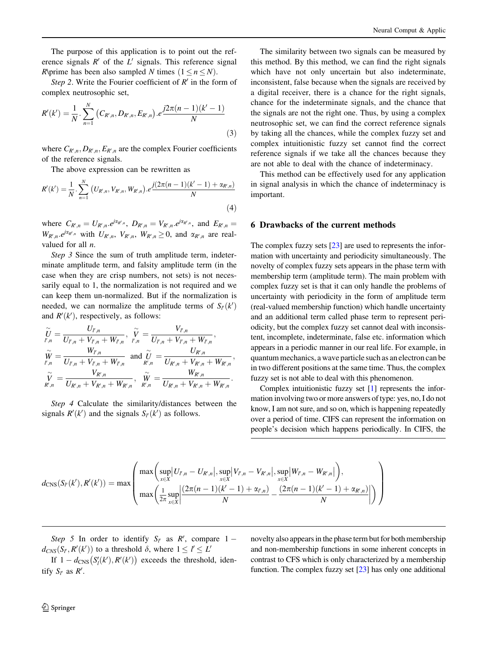<span id="page-13-0"></span>The purpose of this application is to point out the reference signals  $R'$  of the  $L'$  signals. This reference signal R\prime has been also sampled N times  $(1 \le n \le N)$ .

Step 2. Write the Fourier coefficient of  $R'$  in the form of complex neutrosophic set,

$$
R'(k') = \frac{1}{N} \cdot \sum_{n=1}^{N} (C_{R',n}, D_{R',n}, E_{R',n}) \cdot e^{\frac{j2\pi(n-1)(k'-1)}{N}}
$$
\n(3)

where  $C_{R',n}, D_{R',n}, E_{R',n}$  are the complex Fourier coefficients of the reference signals.

The above expression can be rewritten as

$$
R'(k') = \frac{1}{N} \cdot \sum_{n=1}^{N} \left( U_{R',n}, V_{R',n}, W_{R',n} \right) . e^{\frac{j(2\pi(n-1)(k'-1) + \alpha_{R',n})}{N}}
$$
\n
$$
\tag{4}
$$

where  $C_{R',n} = U_{R',n} e^{j\alpha_{R',n}}$ ,  $D_{R',n} = V_{R',n} e^{j\alpha_{R',n}}$ , and  $E_{R',n} =$  $W_{R',n}.e^{j\alpha_{R',n}}$  with  $U_{R',n}, V_{R',n}, W_{R',n} \geq 0$ , and  $\alpha_{R',n}$  are realvalued for all  $n$ .

Step 3 Since the sum of truth amplitude term, indeterminate amplitude term, and falsity amplitude term (in the case when they are crisp numbers, not sets) is not necessarily equal to 1, the normalization is not required and we can keep them un-normalized. But if the normalization is needed, we can normalize the amplitude terms of  $S_{l'}(k')$ and  $R'(k')$ , respectively, as follows:

$$
\begin{aligned} &\widetilde{U}_{l',n}=\frac{U_{l',n}}{U_{l',n}+V_{l',n}+W_{l',n}}, \hspace{0.2cm} \widetilde{V}_{l',n}=\frac{V_{l',n}}{U_{l',n}+V_{l',n}+W_{l',n}},\\ &\widetilde{W}_{l,n}=\frac{W_{l',n}}{U_{l',n}+V_{l',n}+W_{l',n}} \hspace{0.2cm} \text{and} \hspace{0.2cm} \widetilde{U}_{l'}=\frac{U_{R',n}}{U_{R',n}+V_{R',n}+W_{R',n}},\\ &\widetilde{V}_{R',n}=\frac{V_{R',n}}{U_{R',n}+V_{R',n}+W_{R',n}}, \hspace{0.2cm} \widetilde{W}=\frac{W_{R',n}}{U_{R',n}+V_{R',n}+W_{R',n}}. \end{aligned}
$$

Step 4 Calculate the similarity/distances between the signals  $R'(k')$  and the signals  $S_{l'}(k')$  as follows.

The similarity between two signals can be measured by this method. By this method, we can find the right signals which have not only uncertain but also indeterminate, inconsistent, false because when the signals are received by a digital receiver, there is a chance for the right signals, chance for the indeterminate signals, and the chance that the signals are not the right one. Thus, by using a complex neutrosophic set, we can find the correct reference signals by taking all the chances, while the complex fuzzy set and complex intuitionistic fuzzy set cannot find the correct reference signals if we take all the chances because they are not able to deal with the chance of indeterminacy.

This method can be effectively used for any application in signal analysis in which the chance of indeterminacy is important.

# 6 Drawbacks of the current methods

The complex fuzzy sets [[23\]](#page-17-0) are used to represents the information with uncertainty and periodicity simultaneously. The novelty of complex fuzzy sets appears in the phase term with membership term (amplitude term). The main problem with complex fuzzy set is that it can only handle the problems of uncertainty with periodicity in the form of amplitude term (real-valued membership function) which handle uncertainty and an additional term called phase term to represent periodicity, but the complex fuzzy set cannot deal with inconsistent, incomplete, indeterminate, false etc. information which appears in a periodic manner in our real life. For example, in quantum mechanics, a wave particle such as an electron can be in two different positions at the same time. Thus, the complex fuzzy set is not able to deal with this phenomenon.

Complex intuitionistic fuzzy set [\[1\]](#page-16-0) represents the information involving two or more answers of type: yes, no, I do not know, I am not sure, and so on, which is happening repeatedly over a period of time. CIFS can represent the information on people's decision which happens periodically. In CIFS, the

$$
d_{\mathrm{CNS}}(S_{l'}(k'),R'(k')) = \max \left( \frac{\max \left( \sup_{x \in X} |U_{l',n} - U_{R',n}|, \sup_{x \in X} |V_{l',n} - V_{R',n}|, \sup_{x \in X} |W_{l',n} - W_{R',n}| \right),}{\max \left( \frac{1}{2\pi} \sup_{x \in X} \left| \frac{(2\pi(n-1)(k'-1) + \alpha_{l',n})}{N} - \frac{(2\pi(n-1)(k'-1) + \alpha_{R',n})}{N} \right| \right)} \right)
$$

Step 5 In order to identify  $S_{l'}$  as  $R'$ , compare 1 –  $d_{CNS}(S_{l'}, R'(k'))$  to a threshold  $\delta$ , where  $1 \leq l' \leq L'$ 

novelty also appears in the phase term but for both membership and non-membership functions in some inherent concepts in contrast to CFS which is only characterized by a membership function. The complex fuzzy set [\[23\]](#page-17-0) has only one additional

If  $1 - d_{\text{CNS}}(S'_l(k'), R'(k'))$  exceeds the threshold, identify  $S_{l'}$  as  $R'$ .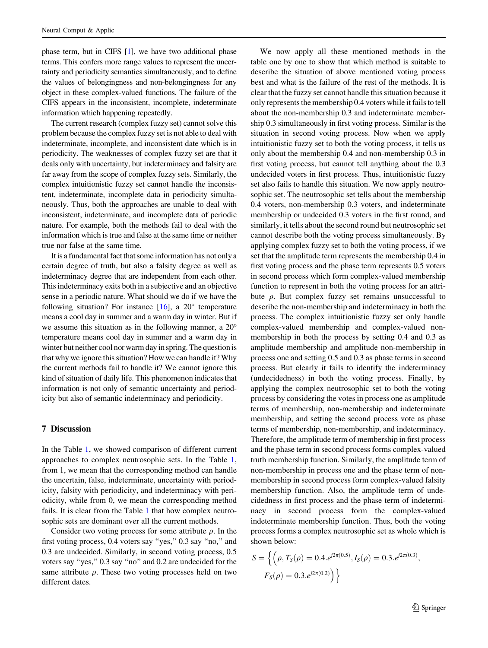phase term, but in CIFS [\[1](#page-16-0)], we have two additional phase terms. This confers more range values to represent the uncertainty and periodicity semantics simultaneously, and to define the values of belongingness and non-belongingness for any object in these complex-valued functions. The failure of the CIFS appears in the inconsistent, incomplete, indeterminate information which happening repeatedly.

The current research (complex fuzzy set) cannot solve this problem because the complex fuzzy set is not able to deal with indeterminate, incomplete, and inconsistent date which is in periodicity. The weaknesses of complex fuzzy set are that it deals only with uncertainty, but indeterminacy and falsity are far away from the scope of complex fuzzy sets. Similarly, the complex intuitionistic fuzzy set cannot handle the inconsistent, indeterminate, incomplete data in periodicity simultaneously. Thus, both the approaches are unable to deal with inconsistent, indeterminate, and incomplete data of periodic nature. For example, both the methods fail to deal with the information which is true and false at the same time or neither true nor false at the same time.

It is a fundamental fact that some information has not only a certain degree of truth, but also a falsity degree as well as indeterminacy degree that are independent from each other. This indeterminacy exits both in a subjective and an objective sense in a periodic nature. What should we do if we have the following situation? For instance  $[16]$  $[16]$  $[16]$ , a 20 $^{\circ}$  temperature means a cool day in summer and a warm day in winter. But if we assume this situation as in the following manner, a 20 temperature means cool day in summer and a warm day in winter but neither cool nor warm day in spring. The question is that why we ignore this situation? How we can handle it? Why the current methods fail to handle it? We cannot ignore this kind of situation of daily life. This phenomenon indicates that information is not only of semantic uncertainty and periodicity but also of semantic indeterminacy and periodicity.

# 7 Discussion

In the Table [1,](#page-16-0) we showed comparison of different current approaches to complex neutrosophic sets. In the Table [1,](#page-16-0) from 1, we mean that the corresponding method can handle the uncertain, false, indeterminate, uncertainty with periodicity, falsity with periodicity, and indeterminacy with periodicity, while from 0, we mean the corresponding method fails. It is clear from the Table [1](#page-16-0) that how complex neutrosophic sets are dominant over all the current methods.

Consider two voting process for some attribute  $\rho$ . In the first voting process, 0.4 voters say ''yes,'' 0.3 say ''no,'' and 0.3 are undecided. Similarly, in second voting process, 0.5 voters say ''yes,'' 0.3 say ''no'' and 0.2 are undecided for the same attribute  $\rho$ . These two voting processes held on two different dates.

We now apply all these mentioned methods in the table one by one to show that which method is suitable to describe the situation of above mentioned voting process best and what is the failure of the rest of the methods. It is clear that the fuzzy set cannot handle this situation because it only represents the membership 0.4 voters while it fails to tell about the non-membership 0.3 and indeterminate membership 0.3 simultaneously in first voting process. Similar is the situation in second voting process. Now when we apply intuitionistic fuzzy set to both the voting process, it tells us only about the membership 0.4 and non-membership 0.3 in first voting process, but cannot tell anything about the 0.3 undecided voters in first process. Thus, intuitionistic fuzzy set also fails to handle this situation. We now apply neutrosophic set. The neutrosophic set tells about the membership 0.4 voters, non-membership 0.3 voters, and indeterminate membership or undecided 0.3 voters in the first round, and similarly, it tells about the second round but neutrosophic set cannot describe both the voting process simultaneously. By applying complex fuzzy set to both the voting process, if we set that the amplitude term represents the membership 0.4 in first voting process and the phase term represents 0.5 voters in second process which form complex-valued membership function to represent in both the voting process for an attribute  $\rho$ . But complex fuzzy set remains unsuccessful to describe the non-membership and indeterminacy in both the process. The complex intuitionistic fuzzy set only handle complex-valued membership and complex-valued nonmembership in both the process by setting 0.4 and 0.3 as amplitude membership and amplitude non-membership in process one and setting 0.5 and 0.3 as phase terms in second process. But clearly it fails to identify the indeterminacy (undecidedness) in both the voting process. Finally, by applying the complex neutrosophic set to both the voting process by considering the votes in process one as amplitude terms of membership, non-membership and indeterminate membership, and setting the second process vote as phase terms of membership, non-membership, and indeterminacy. Therefore, the amplitude term of membership in first process and the phase term in second process forms complex-valued truth membership function. Similarly, the amplitude term of non-membership in process one and the phase term of nonmembership in second process form complex-valued falsity membership function. Also, the amplitude term of undecidedness in first process and the phase term of indeterminacy in second process form the complex-valued indeterminate membership function. Thus, both the voting process forms a complex neutrosophic set as whole which is shown below:

$$
S = \left\{ \left( \rho, T_S(\rho) = 0.4.e^{j2\pi(0.5)}, I_S(\rho) = 0.3.e^{j2\pi(0.3)}, \right. \\ F_S(\rho) = 0.3.e^{j2\pi(0.2)} \right) \right\}
$$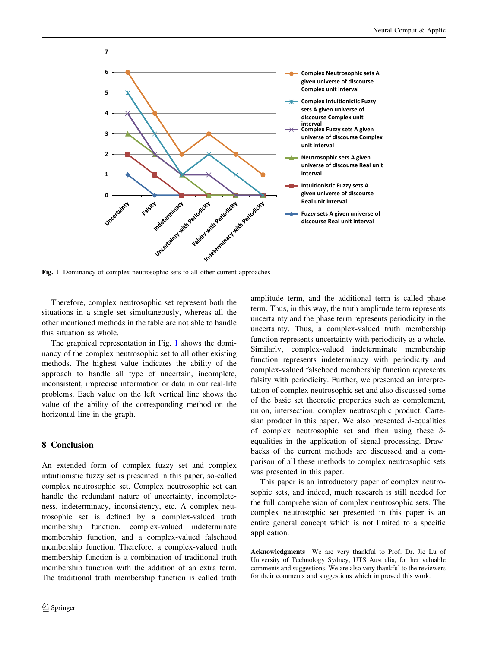

Fig. 1 Dominancy of complex neutrosophic sets to all other current approaches

Therefore, complex neutrosophic set represent both the situations in a single set simultaneously, whereas all the other mentioned methods in the table are not able to handle this situation as whole.

The graphical representation in Fig. 1 shows the dominancy of the complex neutrosophic set to all other existing methods. The highest value indicates the ability of the approach to handle all type of uncertain, incomplete, inconsistent, imprecise information or data in our real-life problems. Each value on the left vertical line shows the value of the ability of the corresponding method on the horizontal line in the graph.

## 8 Conclusion

An extended form of complex fuzzy set and complex intuitionistic fuzzy set is presented in this paper, so-called complex neutrosophic set. Complex neutrosophic set can handle the redundant nature of uncertainty, incompleteness, indeterminacy, inconsistency, etc. A complex neutrosophic set is defined by a complex-valued truth membership function, complex-valued indeterminate membership function, and a complex-valued falsehood membership function. Therefore, a complex-valued truth membership function is a combination of traditional truth membership function with the addition of an extra term. The traditional truth membership function is called truth amplitude term, and the additional term is called phase term. Thus, in this way, the truth amplitude term represents uncertainty and the phase term represents periodicity in the uncertainty. Thus, a complex-valued truth membership function represents uncertainty with periodicity as a whole. Similarly, complex-valued indeterminate membership function represents indeterminacy with periodicity and complex-valued falsehood membership function represents falsity with periodicity. Further, we presented an interpretation of complex neutrosophic set and also discussed some of the basic set theoretic properties such as complement, union, intersection, complex neutrosophic product, Cartesian product in this paper. We also presented  $\delta$ -equalities of complex neutrosophic set and then using these  $\delta$ equalities in the application of signal processing. Drawbacks of the current methods are discussed and a comparison of all these methods to complex neutrosophic sets was presented in this paper.

This paper is an introductory paper of complex neutrosophic sets, and indeed, much research is still needed for the full comprehension of complex neutrosophic sets. The complex neutrosophic set presented in this paper is an entire general concept which is not limited to a specific application.

Acknowledgments We are very thankful to Prof. Dr. Jie Lu of University of Technology Sydney, UTS Australia, for her valuable comments and suggestions. We are also very thankful to the reviewers for their comments and suggestions which improved this work.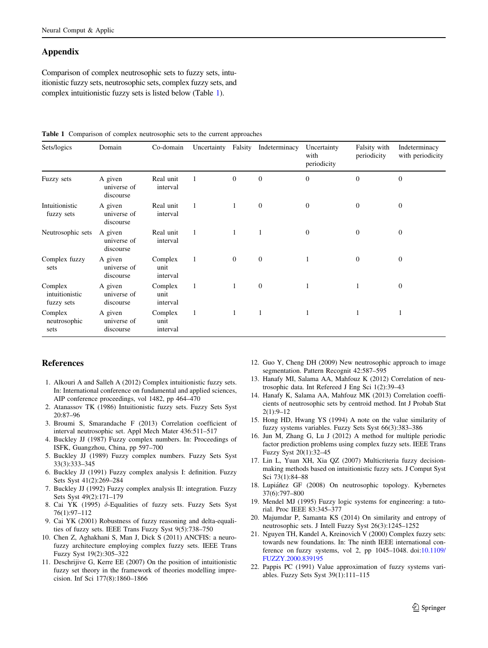# <span id="page-16-0"></span>Appendix

Comparison of complex neutrosophic sets to fuzzy sets, intuitionistic fuzzy sets, neutrosophic sets, complex fuzzy sets, and complex intuitionistic fuzzy sets is listed below (Table 1).

|  |  |  | <b>Table 1</b> Comparison of complex neutrosophic sets to the current approaches |  |  |  |  |
|--|--|--|----------------------------------------------------------------------------------|--|--|--|--|
|--|--|--|----------------------------------------------------------------------------------|--|--|--|--|

| Sets/logics                             | Domain                              | Co-domain                   | Uncertainty  | Falsity        | Indeterminacy  | Uncertainty<br>with<br>periodicity | Falsity with<br>periodicity | Indeterminacy<br>with periodicity |
|-----------------------------------------|-------------------------------------|-----------------------------|--------------|----------------|----------------|------------------------------------|-----------------------------|-----------------------------------|
| Fuzzy sets                              | A given<br>universe of<br>discourse | Real unit<br>interval       |              | $\overline{0}$ | $\overline{0}$ | $\mathbf{0}$                       | $\mathbf{0}$                | $\mathbf{0}$                      |
| Intuitionistic<br>fuzzy sets            | A given<br>universe of<br>discourse | Real unit<br>interval       | 1            | 1              | $\mathbf{0}$   | $\overline{0}$                     | $\mathbf{0}$                | $\mathbf{0}$                      |
| Neutrosophic sets                       | A given<br>universe of<br>discourse | Real unit<br>interval       | 1            | $\mathbf{1}$   | 1              | $\overline{0}$                     | $\mathbf{0}$                | $\boldsymbol{0}$                  |
| Complex fuzzy<br>sets                   | A given<br>universe of<br>discourse | Complex<br>unit<br>interval | $\mathbf{1}$ | $\mathbf{0}$   | $\mathbf{0}$   |                                    | $\mathbf{0}$                | $\mathbf{0}$                      |
| Complex<br>intuitionistic<br>fuzzy sets | A given<br>universe of<br>discourse | Complex<br>unit<br>interval | $\mathbf{1}$ | 1              | $\mathbf{0}$   |                                    | 1                           | $\boldsymbol{0}$                  |
| Complex<br>neutrosophic<br>sets         | A given<br>universe of<br>discourse | Complex<br>unit<br>interval | $\mathbf{1}$ | $\mathbf{1}$   | 1              |                                    | 1                           | 1                                 |

# References

- 1. Alkouri A and Salleh A (2012) Complex intuitionistic fuzzy sets. In: International conference on fundamental and applied sciences, AIP conference proceedings, vol 1482, pp 464–470
- 2. Atanassov TK (1986) Intuitionistic fuzzy sets. Fuzzy Sets Syst 20:87–96
- 3. Broumi S, Smarandache F (2013) Correlation coefficient of interval neutrosophic set. Appl Mech Mater 436:511–517
- 4. Buckley JJ (1987) Fuzzy complex numbers. In: Proceedings of ISFK, Guangzhou, China, pp 597–700
- 5. Buckley JJ (1989) Fuzzy complex numbers. Fuzzy Sets Syst 33(3):333–345
- 6. Buckley JJ (1991) Fuzzy complex analysis I: definition. Fuzzy Sets Syst 41(2):269–284
- 7. Buckley JJ (1992) Fuzzy complex analysis II: integration. Fuzzy Sets Syst 49(2):171–179
- 8. Cai YK (1995)  $\delta$ -Equalities of fuzzy sets. Fuzzy Sets Syst 76(1):97–112
- 9. Cai YK (2001) Robustness of fuzzy reasoning and delta-equalities of fuzzy sets. IEEE Trans Fuzzy Syst 9(5):738–750
- 10. Chen Z, Aghakhani S, Man J, Dick S (2011) ANCFIS: a neurofuzzy architecture employing complex fuzzy sets. IEEE Trans Fuzzy Syst 19(2):305–322
- 11. Deschrijive G, Kerre EE (2007) On the position of intuitionistic fuzzy set theory in the framework of theories modelling imprecision. Inf Sci 177(8):1860–1866
- 12. Guo Y, Cheng DH (2009) New neutrosophic approach to image segmentation. Pattern Recognit 42:587–595
- 13. Hanafy MI, Salama AA, Mahfouz K (2012) Correlation of neutrosophic data. Int Refereed J Eng Sci 1(2):39–43
- 14. Hanafy K, Salama AA, Mahfouz MK (2013) Correlation coefficients of neutrosophic sets by centroid method. Int J Probab Stat 2(1):9–12
- 15. Hong HD, Hwang YS (1994) A note on the value similarity of fuzzy systems variables. Fuzzy Sets Syst 66(3):383–386
- 16. Jun M, Zhang G, Lu J (2012) A method for multiple periodic factor prediction problems using complex fuzzy sets. IEEE Trans Fuzzy Syst 20(1):32–45
- 17. Lin L, Yuan XH, Xia QZ (2007) Multicriteria fuzzy decisionmaking methods based on intuitionistic fuzzy sets. J Comput Syst Sci 73(1):84–88
- 18. Lupiáñez GF (2008) On neutrosophic topology. Kybernetes 37(6):797–800
- 19. Mendel MJ (1995) Fuzzy logic systems for engineering: a tutorial. Proc IEEE 83:345–377
- 20. Majumdar P, Samanta KS (2014) On similarity and entropy of neutrosophic sets. J Intell Fuzzy Syst 26(3):1245–1252
- 21. Nguyen TH, Kandel A, Kreinovich V (2000) Complex fuzzy sets: towards new foundations. In: The ninth IEEE international conference on fuzzy systems, vol 2, pp 1045–1048. doi[:10.1109/](http://dx.doi.org/10.1109/FUZZY.2000.839195) [FUZZY.2000.839195](http://dx.doi.org/10.1109/FUZZY.2000.839195)
- 22. Pappis PC (1991) Value approximation of fuzzy systems variables. Fuzzy Sets Syst 39(1):111–115